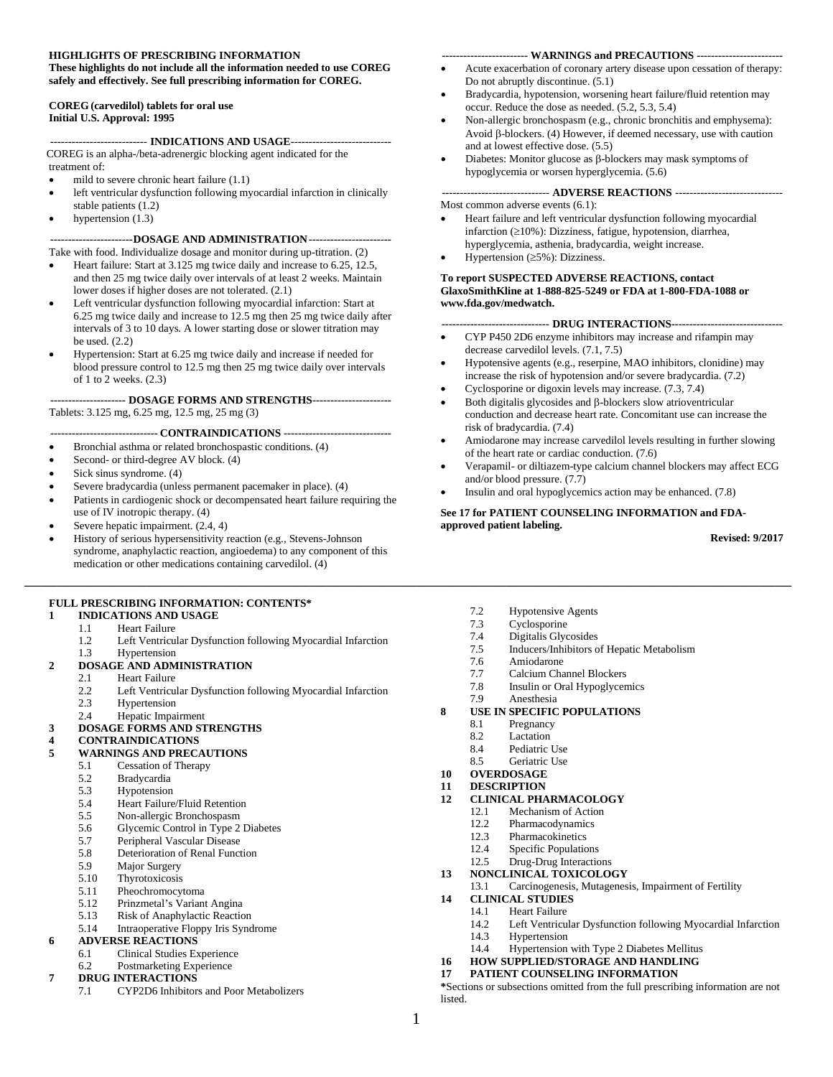#### **HIGHLIGHTS OF PRESCRIBING INFORMATION**

**These highlights do not include all the information needed to use COREG safely and effectively. See full prescribing information for COREG.**

#### **COREG (carvedilol) tablets for oral use Initial U.S. Approval: 1995**

#### **--------------------------- INDICATIONS AND USAGE----------------------------**

COREG is an alpha-/beta-adrenergic blocking agent indicated for the treatment of:

- mild to severe chronic heart failure (1.1)
- left ventricular dysfunction following myocardial infarction in clinically stable patients (1.2)
- hypertension (1.3)

#### **-----------------------DOSAGE AND ADMINISTRATION-----------------------**

- Take with food. Individualize dosage and monitor during up-titration. (2) • Heart failure: Start at 3.125 mg twice daily and increase to 6.25, 12.5, and then 25 mg twice daily over intervals of at least 2 weeks. Maintain lower doses if higher doses are not tolerated. (2.1)
- Left ventricular dysfunction following myocardial infarction: Start at 6.25 mg twice daily and increase to 12.5 mg then 25 mg twice daily after intervals of 3 to 10 days. A lower starting dose or slower titration may be used. (2.2)
- Hypertension: Start at 6.25 mg twice daily and increase if needed for blood pressure control to 12.5 mg then  $25$  mg twice daily over intervals of 1 to 2 weeks. (2.3)

**--------------------- DOSAGE FORMS AND STRENGTHS----------------------**

Tablets: 3.125 mg, 6.25 mg, 12.5 mg, 25 mg (3)

**------------------------------ CONTRAINDICATIONS ------------------------------**

- Bronchial asthma or related bronchospastic conditions. (4)
- Second- or third-degree AV block. (4)
- Sick sinus syndrome. (4)
- Severe bradycardia (unless permanent pacemaker in place). (4)
- Patients in cardiogenic shock or decompensated heart failure requiring the use of IV inotropic therapy. (4)
- Severe hepatic impairment.  $(2.4, 4)$
- History of serious hypersensitivity reaction (e.g., Stevens-Johnson syndrome, anaphylactic reaction, angioedema) to any component of this medication or other medications containing carvedilol. (4)

#### **FULL PRESCRIBING INFORMATION: CONTENTS\***

#### **1 [INDICATIONS AND USAGE](#page-1-0)**

- 1.1 [Heart Failure](#page-1-1)<br>1.2 Left Ventricul
- 1.2 [Left Ventricular Dysfunction following Myocardial Infarction](#page-1-2) **[Hypertension](#page-1-3)**
- **2 [DOSAGE AND ADMINISTRATION](#page-1-4)**<br>2.1 **Heart Failure** 
	-
	- 2.1 [Heart Failure](#page-1-5)<br>2.2 Left Ventricu 2.2 [Left Ventricular Dysfunction following Myocardial Infarction](#page-2-0)<br>2.3 Hypertension
	- [Hypertension](#page-2-1)
	- 2.4 [Hepatic Impairment](#page-2-2)
- **3 [DOSAGE FORMS AND STRENGTHS](#page-3-0)**

# **4 [CONTRAINDICATIONS](#page-3-1)**

- **5 [WARNINGS AND PRECAUTIONS](#page-3-2)**
	- 5.1 [Cessation of Therapy](#page-3-3)
		-
	- 5.2 [Bradycardia](#page-4-0) **[Hypotension](#page-4-1)**
	- 5.4 [Heart Failure/Fluid Retention](#page-4-2)
	-
	- 5.5 [Non-allergic Bronchospasm](#page-5-0)<br>5.6 Glycemic Control in Type 2 5.6 [Glycemic Control in Type 2 Diabetes](#page-5-1)<br>5.7 Peripheral Vascular Disease
	- 5.7 [Peripheral Vascular Disease](#page-5-2)
	- 5.8 [Deterioration of Renal Function](#page-5-3)<br>5.9 Major Surgery
	- [Major Surgery](#page-6-0)
	-
	- 5.10 [Thyrotoxicosis](#page-6-1)<br>5.11 Pheochromocy 5.11 [Pheochromocytoma](#page-6-2)<br>5.12 Prinzmetal's Variant
	- [Prinzmetal's Variant Angina](#page-6-3)
	- 5.13 [Risk of Anaphylactic Reaction](#page-6-4)
	- 5.14 [Intraoperative Floppy Iris Syndrome](#page-6-5)
- **6 [ADVERSE REACTIONS](#page-7-0)**
	-
	- 6.1 [Clinical Studies Experience](#page-7-1)<br>6.2 Postmarketing Experience [Postmarketing Experience](#page-12-0)
- **7 [DRUG INTERACTIONS](#page-12-1)**
	- 7.1 [CYP2D6 Inhibitors and Poor Metabolizers](#page-12-2)

#### **------------------------ WARNINGS and PRECAUTIONS ------------------------**

- Acute exacerbation of coronary artery disease upon cessation of therapy: Do not abruptly discontinue. (5.1)
- Bradycardia, hypotension, worsening heart failure/fluid retention may occur. Reduce the dose as needed. (5.2, 5.3, 5.4)
- Non-allergic bronchospasm (e.g., chronic bronchitis and emphysema): Avoid β-blockers. (4) However, if deemed necessary, use with caution and at lowest effective dose. (5.5)
- Diabetes: Monitor glucose as β-blockers may mask symptoms of hypoglycemia or worsen hyperglycemia. (5.6)

#### **------------------------------ ADVERSE REACTIONS ------------------------------**

Most common adverse events (6.1):

- Heart failure and left ventricular dysfunction following myocardial infarction (≥10%): Dizziness, fatigue, hypotension, diarrhea, hyperglycemia, asthenia, bradycardia, weight increase.
- Hypertension  $(\geq 5\%)$ : Dizziness.

#### **To report SUSPECTED ADVERSE REACTIONS, contact GlaxoSmithKline at 1-888-825-5249 or FDA at 1-800-FDA-1088 or www.fda.gov/medwatch.**

#### **------------------------------ DRUG INTERACTIONS-------------------------------**

- CYP P450 2D6 enzyme inhibitors may increase and rifampin may decrease carvedilol levels. (7.1, 7.5)
- Hypotensive agents (e.g., reserpine, MAO inhibitors, clonidine) may increase the risk of hypotension and/or severe bradycardia. (7.2)
- Cyclosporine or digoxin levels may increase. (7.3, 7.4)
- Both digitalis glycosides and β-blockers slow atrioventricular conduction and decrease heart rate. Concomitant use can increase the risk of bradycardia. (7.4)
- Amiodarone may increase carvedilol levels resulting in further slowing of the heart rate or cardiac conduction. (7.6)
- Verapamil- or diltiazem-type calcium channel blockers may affect ECG and/or blood pressure. (7.7)
- Insulin and oral hypoglycemics action may be enhanced. (7.8)

#### **See 17 for PATIENT COUNSELING INFORMATION and FDAapproved patient labeling.**

**Revised: 9/2017**

- 7.2 [Hypotensive Agents](#page-12-3)
- 7.3 [Cyclosporine](#page-13-0)
	- 7.4 [Digitalis Glycosides](#page-13-1)<br>7.5 Inducers/Inhibitors of
	- 7.5 [Inducers/Inhibitors of Hepatic Metabolism](#page-13-2)<br>7.6 Amiodarone
	- [Amiodarone](#page-13-3)
- 
- 7.7 [Calcium Channel Blockers](#page-13-4)<br>7.8 Insulin or Oral Hypoglycen [Insulin or Oral Hypoglycemics](#page-14-0)
- 7.9 [Anesthesia](#page-14-1)
- **8 [USE IN SPECIFIC POPULATIONS](#page-14-2)**
	-
	- 8.1 [Pregnancy](#page-14-3)<br>8.2 Lactation Lactation
	-
	- 8.4 [Pediatric Use](#page-15-1)<br>8.5 Geriatric Use [Geriatric Use](#page-16-0)
- **10 [OVERDOSAGE](#page-16-1)**
- **11 [DESCRIPTION](#page-17-0)**
- **12 [CLINICAL PHARMACOLOGY](#page-17-1)**
	- 12.1 [Mechanism of Action](#page-17-2)
	- 12.2 [Pharmacodynamics](#page-17-3)<br>12.3 Pharmacokinetics
	- **[Pharmacokinetics](#page-19-0)**
	- 12.4 [Specific Populations](#page-20-0)
	- 12.5 [Drug-Drug Interactions](#page-21-0)
- **13 [NONCLINICAL TOXICOLOGY](#page-22-0)** 13.1 [Carcinogenesis, Mutagenesis, Impairment of Fertility](#page-22-1)
- **14 [CLINICAL STUDIES](#page-22-2)**
	- 14.1 [Heart Failure](#page-22-3)

1

listed.

\_\_\_\_\_\_\_\_\_\_\_\_\_\_\_\_\_\_\_\_\_\_\_\_\_\_\_\_\_\_\_\_\_\_\_\_\_\_\_\_\_\_\_\_\_\_\_\_\_\_\_\_\_\_\_\_\_\_\_\_\_\_\_\_\_\_\_\_\_\_\_\_\_\_\_\_\_\_\_\_\_\_\_\_\_\_\_\_\_\_\_\_\_\_

- - 14.2 [Left Ventricular Dysfunction following Myocardial Infarction](#page-26-0)

**\***Sections or subsections omitted from the full prescribing information are not

14.3 [Hypertension](#page-28-0)<br>14.4 Hypertension 14.4 [Hypertension with Type 2 Diabetes Mellitus](#page-28-1) **16 [HOW SUPPLIED/STORAGE AND HANDLING](#page-28-2)**

**17 [PATIENT COUNSELING INFORMATION](#page-29-0)**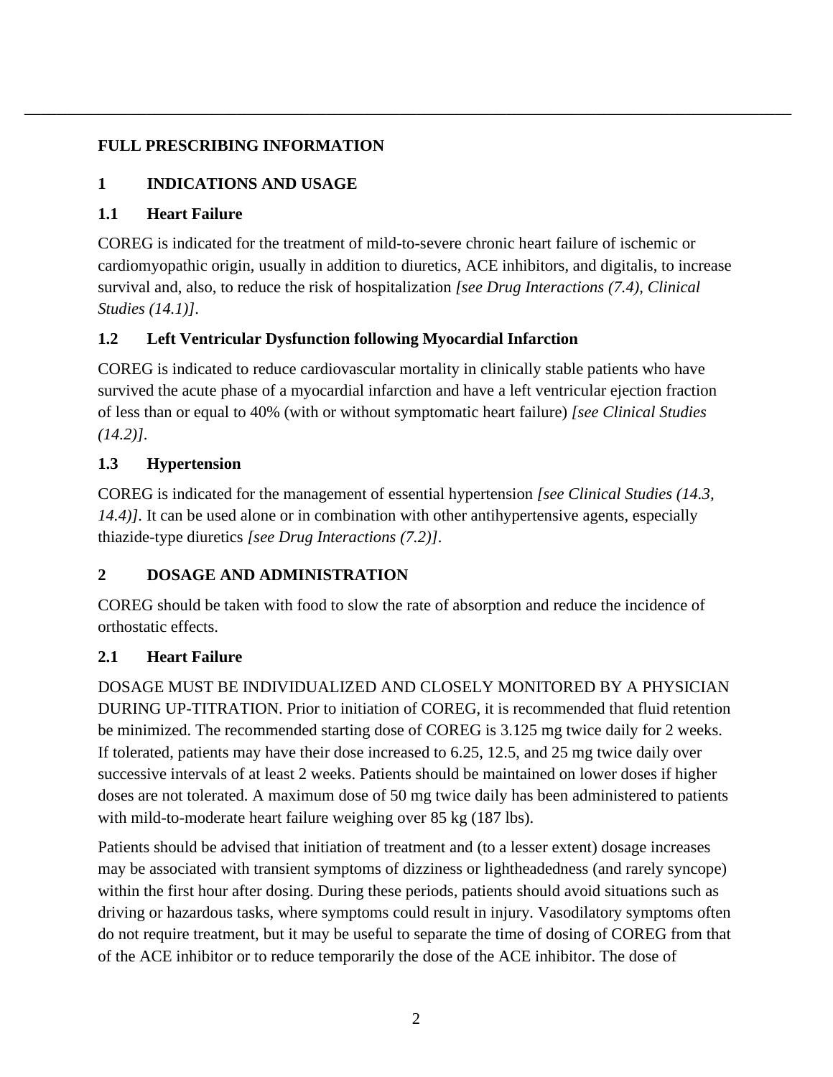## **FULL PRESCRIBING INFORMATION**

# <span id="page-1-0"></span>**1 INDICATIONS AND USAGE**

## <span id="page-1-1"></span>**1.1 Heart Failure**

COREG is indicated for the treatment of mild-to-severe chronic heart failure of ischemic or cardiomyopathic origin, usually in addition to diuretics, ACE inhibitors, and digitalis, to increase survival and, also, to reduce the risk of hospitalization *[see Drug Interactions (7.4), Clinical Studies (14.1)]*.

\_\_\_\_\_\_\_\_\_\_\_\_\_\_\_\_\_\_\_\_\_\_\_\_\_\_\_\_\_\_\_\_\_\_\_\_\_\_\_\_\_\_\_\_\_\_\_\_\_\_\_\_\_\_\_\_\_\_\_\_\_\_\_\_\_\_\_\_\_\_\_\_\_\_\_\_\_\_\_\_\_\_\_\_\_\_\_\_\_\_\_\_\_\_

# <span id="page-1-2"></span>**1.2 Left Ventricular Dysfunction following Myocardial Infarction**

COREG is indicated to reduce cardiovascular mortality in clinically stable patients who have survived the acute phase of a myocardial infarction and have a left ventricular ejection fraction of less than or equal to 40% (with or without symptomatic heart failure) *[see Clinical Studies (14.2)]*.

# <span id="page-1-3"></span>**1.3 Hypertension**

COREG is indicated for the management of essential hypertension *[see Clinical Studies (14.3, 14.4)]*. It can be used alone or in combination with other antihypertensive agents, especially thiazide-type diuretics *[see Drug Interactions (7.2)]*.

# <span id="page-1-4"></span>**2 DOSAGE AND ADMINISTRATION**

COREG should be taken with food to slow the rate of absorption and reduce the incidence of orthostatic effects.

# <span id="page-1-5"></span>**2.1 Heart Failure**

DOSAGE MUST BE INDIVIDUALIZED AND CLOSELY MONITORED BY A PHYSICIAN DURING UP-TITRATION. Prior to initiation of COREG, it is recommended that fluid retention be minimized. The recommended starting dose of COREG is 3.125 mg twice daily for 2 weeks. If tolerated, patients may have their dose increased to 6.25, 12.5, and 25 mg twice daily over successive intervals of at least 2 weeks. Patients should be maintained on lower doses if higher doses are not tolerated. A maximum dose of 50 mg twice daily has been administered to patients with mild-to-moderate heart failure weighing over 85 kg (187 lbs).

Patients should be advised that initiation of treatment and (to a lesser extent) dosage increases may be associated with transient symptoms of dizziness or lightheadedness (and rarely syncope) within the first hour after dosing. During these periods, patients should avoid situations such as driving or hazardous tasks, where symptoms could result in injury. Vasodilatory symptoms often do not require treatment, but it may be useful to separate the time of dosing of COREG from that of the ACE inhibitor or to reduce temporarily the dose of the ACE inhibitor. The dose of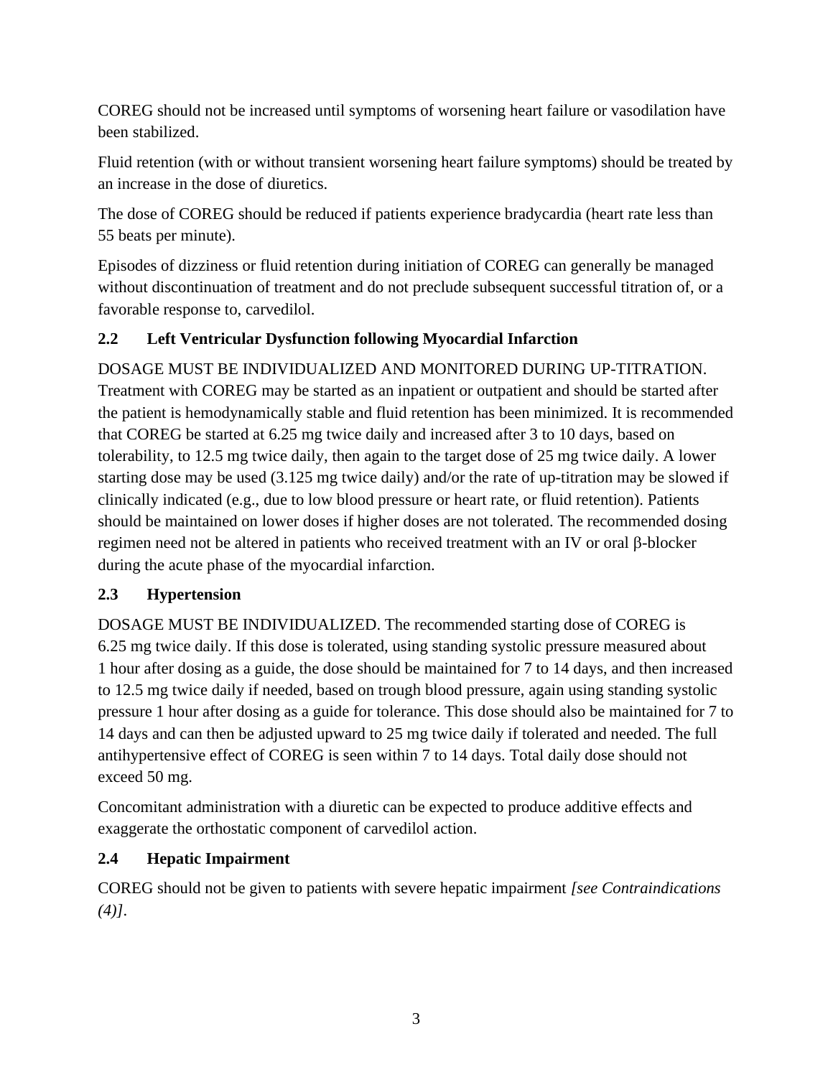COREG should not be increased until symptoms of worsening heart failure or vasodilation have been stabilized.

Fluid retention (with or without transient worsening heart failure symptoms) should be treated by an increase in the dose of diuretics.

The dose of COREG should be reduced if patients experience bradycardia (heart rate less than 55 beats per minute).

Episodes of dizziness or fluid retention during initiation of COREG can generally be managed without discontinuation of treatment and do not preclude subsequent successful titration of, or a favorable response to, carvedilol.

## <span id="page-2-0"></span>**2.2 Left Ventricular Dysfunction following Myocardial Infarction**

DOSAGE MUST BE INDIVIDUALIZED AND MONITORED DURING UP-TITRATION. Treatment with COREG may be started as an inpatient or outpatient and should be started after the patient is hemodynamically stable and fluid retention has been minimized. It is recommended that COREG be started at 6.25 mg twice daily and increased after 3 to 10 days, based on tolerability, to 12.5 mg twice daily, then again to the target dose of 25 mg twice daily. A lower starting dose may be used (3.125 mg twice daily) and/or the rate of up-titration may be slowed if clinically indicated (e.g., due to low blood pressure or heart rate, or fluid retention). Patients should be maintained on lower doses if higher doses are not tolerated. The recommended dosing regimen need not be altered in patients who received treatment with an IV or oral β-blocker

# <span id="page-2-1"></span>**2.3 Hypertension**

during the acute phase of the myocardial infarction.

DOSAGE MUST BE INDIVIDUALIZED. The recommended starting dose of COREG is 6.25 mg twice daily. If this dose is tolerated, using standing systolic pressure measured about 1 hour after dosing as a guide, the dose should be maintained for 7 to 14 days, and then increased to 12.5 mg twice daily if needed, based on trough blood pressure, again using standing systolic pressure 1 hour after dosing as a guide for tolerance. This dose should also be maintained for 7 to 14 days and can then be adjusted upward to 25 mg twice daily if tolerated and needed. The full antihypertensive effect of COREG is seen within 7 to 14 days. Total daily dose should not exceed 50 mg.

Concomitant administration with a diuretic can be expected to produce additive effects and exaggerate the orthostatic component of carvedilol action.

## <span id="page-2-2"></span>**2.4 Hepatic Impairment**

COREG should not be given to patients with severe hepatic impairment *[see Contraindications (4)]*.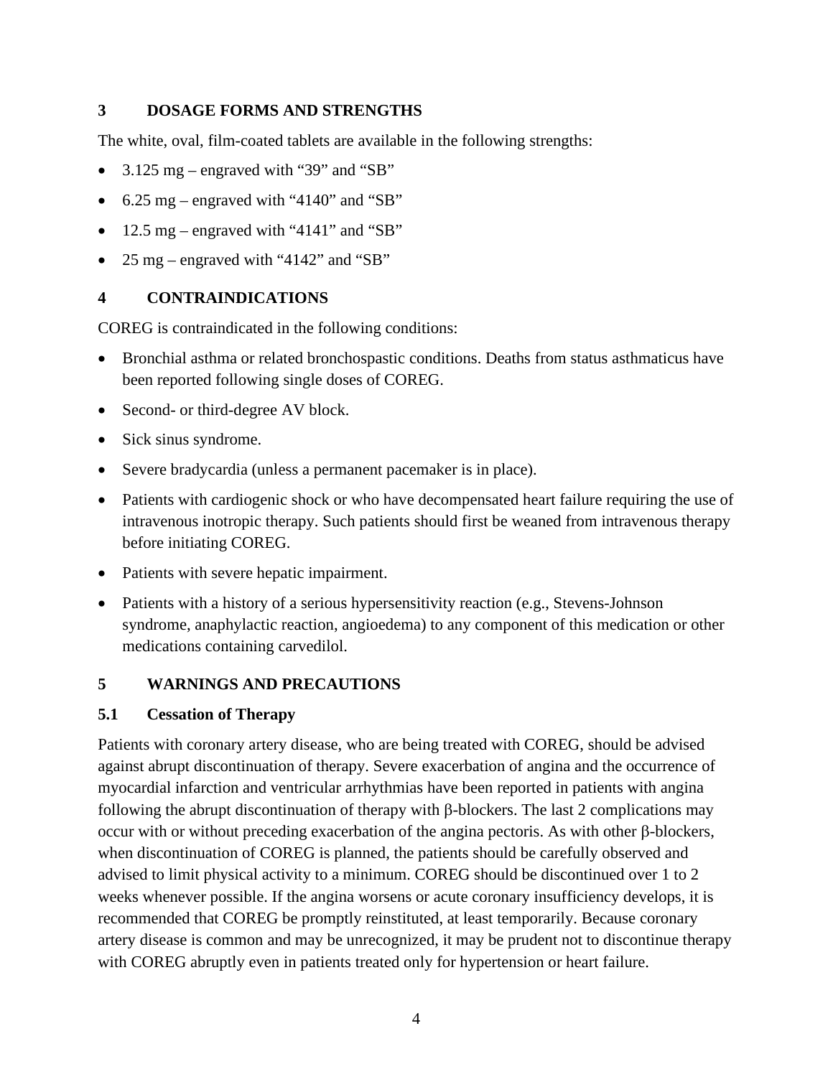## <span id="page-3-0"></span>**3 DOSAGE FORMS AND STRENGTHS**

The white, oval, film-coated tablets are available in the following strengths:

- 3.125 mg engraved with "39" and "SB"
- 6.25 mg engraved with "4140" and "SB"
- 12.5 mg engraved with "4141" and "SB"
- <span id="page-3-1"></span> $25 \text{ mg}$  – engraved with "4142" and "SB"

## **4 CONTRAINDICATIONS**

COREG is contraindicated in the following conditions:

- Bronchial asthma or related bronchospastic conditions. Deaths from status asthmaticus have been reported following single doses of COREG.
- Second- or third-degree AV block.
- Sick sinus syndrome.
- Severe bradycardia (unless a permanent pacemaker is in place).
- Patients with cardiogenic shock or who have decompensated heart failure requiring the use of intravenous inotropic therapy. Such patients should first be weaned from intravenous therapy before initiating COREG.
- Patients with severe hepatic impairment.
- Patients with a history of a serious hypersensitivity reaction (e.g., Stevens-Johnson syndrome, anaphylactic reaction, angioedema) to any component of this medication or other medications containing carvedilol.

## <span id="page-3-2"></span>**5 WARNINGS AND PRECAUTIONS**

### <span id="page-3-3"></span>**5.1 Cessation of Therapy**

Patients with coronary artery disease, who are being treated with COREG, should be advised against abrupt discontinuation of therapy. Severe exacerbation of angina and the occurrence of myocardial infarction and ventricular arrhythmias have been reported in patients with angina following the abrupt discontinuation of therapy with β-blockers. The last 2 complications may occur with or without preceding exacerbation of the angina pectoris. As with other β-blockers, when discontinuation of COREG is planned, the patients should be carefully observed and advised to limit physical activity to a minimum. COREG should be discontinued over 1 to 2 weeks whenever possible. If the angina worsens or acute coronary insufficiency develops, it is recommended that COREG be promptly reinstituted, at least temporarily. Because coronary artery disease is common and may be unrecognized, it may be prudent not to discontinue therapy with COREG abruptly even in patients treated only for hypertension or heart failure.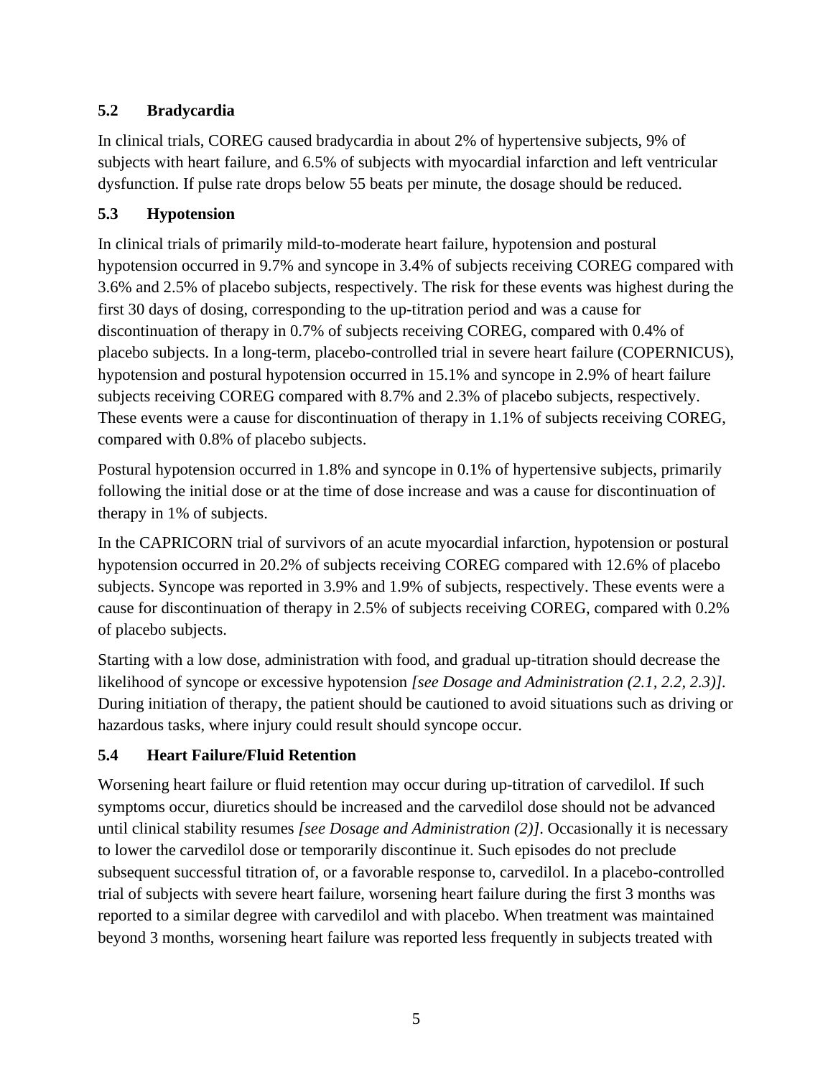# <span id="page-4-0"></span>**5.2 Bradycardia**

In clinical trials, COREG caused bradycardia in about 2% of hypertensive subjects, 9% of subjects with heart failure, and 6.5% of subjects with myocardial infarction and left ventricular dysfunction. If pulse rate drops below 55 beats per minute, the dosage should be reduced.

## <span id="page-4-1"></span>**5.3 Hypotension**

In clinical trials of primarily mild-to-moderate heart failure, hypotension and postural hypotension occurred in 9.7% and syncope in 3.4% of subjects receiving COREG compared with 3.6% and 2.5% of placebo subjects, respectively. The risk for these events was highest during the first 30 days of dosing, corresponding to the up-titration period and was a cause for discontinuation of therapy in 0.7% of subjects receiving COREG, compared with 0.4% of placebo subjects. In a long-term, placebo-controlled trial in severe heart failure (COPERNICUS), hypotension and postural hypotension occurred in 15.1% and syncope in 2.9% of heart failure subjects receiving COREG compared with 8.7% and 2.3% of placebo subjects, respectively. These events were a cause for discontinuation of therapy in 1.1% of subjects receiving COREG, compared with 0.8% of placebo subjects.

Postural hypotension occurred in 1.8% and syncope in 0.1% of hypertensive subjects, primarily following the initial dose or at the time of dose increase and was a cause for discontinuation of therapy in 1% of subjects.

In the CAPRICORN trial of survivors of an acute myocardial infarction, hypotension or postural hypotension occurred in 20.2% of subjects receiving COREG compared with 12.6% of placebo subjects. Syncope was reported in 3.9% and 1.9% of subjects, respectively. These events were a cause for discontinuation of therapy in 2.5% of subjects receiving COREG, compared with 0.2% of placebo subjects.

Starting with a low dose, administration with food, and gradual up-titration should decrease the likelihood of syncope or excessive hypotension *[see Dosage and Administration (2.1, 2.2, 2.3)].* During initiation of therapy, the patient should be cautioned to avoid situations such as driving or hazardous tasks, where injury could result should syncope occur.

# <span id="page-4-2"></span>**5.4 Heart Failure/Fluid Retention**

Worsening heart failure or fluid retention may occur during up-titration of carvedilol. If such symptoms occur, diuretics should be increased and the carvedilol dose should not be advanced until clinical stability resumes *[see Dosage and Administration (2)]*. Occasionally it is necessary to lower the carvedilol dose or temporarily discontinue it. Such episodes do not preclude subsequent successful titration of, or a favorable response to, carvedilol. In a placebo-controlled trial of subjects with severe heart failure, worsening heart failure during the first 3 months was reported to a similar degree with carvedilol and with placebo. When treatment was maintained beyond 3 months, worsening heart failure was reported less frequently in subjects treated with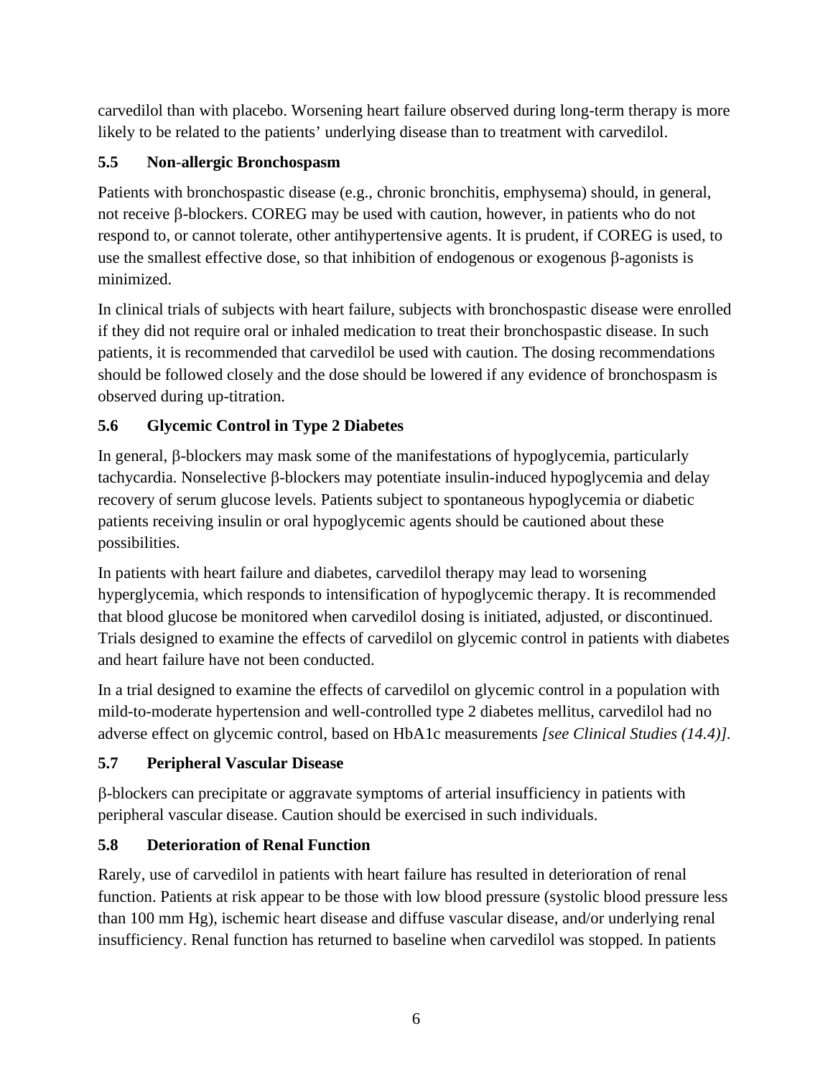carvedilol than with placebo. Worsening heart failure observed during long-term therapy is more likely to be related to the patients' underlying disease than to treatment with carvedilol.

## <span id="page-5-0"></span>**5.5 Non**-**allergic Bronchospasm**

Patients with bronchospastic disease (e.g., chronic bronchitis, emphysema) should, in general, not receive β-blockers. COREG may be used with caution, however, in patients who do not respond to, or cannot tolerate, other antihypertensive agents. It is prudent, if COREG is used, to use the smallest effective dose, so that inhibition of endogenous or exogenous β-agonists is minimized.

In clinical trials of subjects with heart failure, subjects with bronchospastic disease were enrolled if they did not require oral or inhaled medication to treat their bronchospastic disease. In such patients, it is recommended that carvedilol be used with caution. The dosing recommendations should be followed closely and the dose should be lowered if any evidence of bronchospasm is observed during up-titration.

## <span id="page-5-1"></span>**5.6 Glycemic Control in Type 2 Diabetes**

In general, β-blockers may mask some of the manifestations of hypoglycemia, particularly tachycardia. Nonselective β-blockers may potentiate insulin-induced hypoglycemia and delay recovery of serum glucose levels. Patients subject to spontaneous hypoglycemia or diabetic patients receiving insulin or oral hypoglycemic agents should be cautioned about these possibilities.

In patients with heart failure and diabetes, carvedilol therapy may lead to worsening hyperglycemia, which responds to intensification of hypoglycemic therapy. It is recommended that blood glucose be monitored when carvedilol dosing is initiated, adjusted, or discontinued. Trials designed to examine the effects of carvedilol on glycemic control in patients with diabetes and heart failure have not been conducted.

In a trial designed to examine the effects of carvedilol on glycemic control in a population with mild-to-moderate hypertension and well-controlled type 2 diabetes mellitus, carvedilol had no adverse effect on glycemic control, based on HbA1c measurements *[see Clinical Studies (14.4)].*

## <span id="page-5-2"></span>**5.7 Peripheral Vascular Disease**

β-blockers can precipitate or aggravate symptoms of arterial insufficiency in patients with peripheral vascular disease. Caution should be exercised in such individuals.

### <span id="page-5-3"></span>**5.8 Deterioration of Renal Function**

Rarely, use of carvedilol in patients with heart failure has resulted in deterioration of renal function. Patients at risk appear to be those with low blood pressure (systolic blood pressure less than 100 mm Hg), ischemic heart disease and diffuse vascular disease, and/or underlying renal insufficiency. Renal function has returned to baseline when carvedilol was stopped. In patients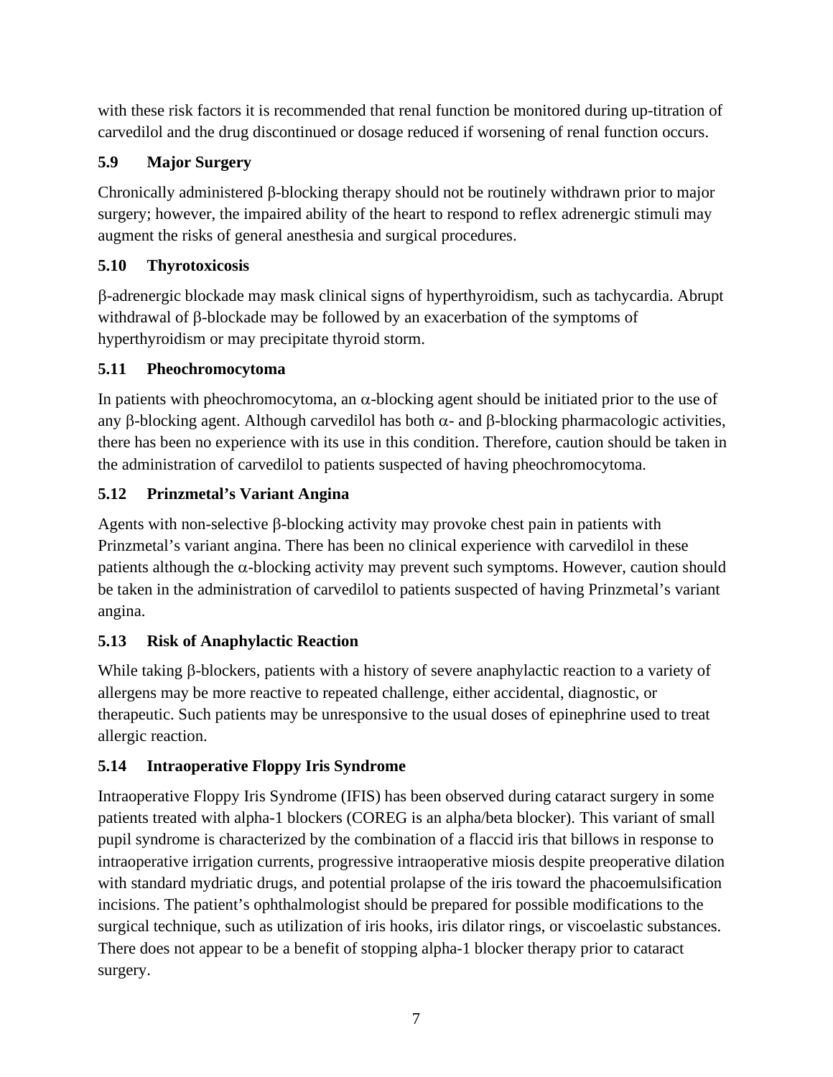with these risk factors it is recommended that renal function be monitored during up-titration of carvedilol and the drug discontinued or dosage reduced if worsening of renal function occurs.

## <span id="page-6-0"></span>**5.9 Major Surgery**

Chronically administered β-blocking therapy should not be routinely withdrawn prior to major surgery; however, the impaired ability of the heart to respond to reflex adrenergic stimuli may augment the risks of general anesthesia and surgical procedures.

## <span id="page-6-1"></span>**5.10 Thyrotoxicosis**

β-adrenergic blockade may mask clinical signs of hyperthyroidism, such as tachycardia. Abrupt withdrawal of β-blockade may be followed by an exacerbation of the symptoms of hyperthyroidism or may precipitate thyroid storm.

## <span id="page-6-2"></span>**5.11 Pheochromocytoma**

In patients with pheochromocytoma, an α-blocking agent should be initiated prior to the use of any β-blocking agent. Although carvedilol has both  $\alpha$ - and β-blocking pharmacologic activities, there has been no experience with its use in this condition. Therefore, caution should be taken in the administration of carvedilol to patients suspected of having pheochromocytoma.

## <span id="page-6-3"></span>**5.12 Prinzmetal's Variant Angina**

Agents with non-selective β-blocking activity may provoke chest pain in patients with Prinzmetal's variant angina. There has been no clinical experience with carvedilol in these patients although the  $\alpha$ -blocking activity may prevent such symptoms. However, caution should be taken in the administration of carvedilol to patients suspected of having Prinzmetal's variant angina.

## <span id="page-6-4"></span>**5.13 Risk of Anaphylactic Reaction**

While taking β-blockers, patients with a history of severe anaphylactic reaction to a variety of allergens may be more reactive to repeated challenge, either accidental, diagnostic, or therapeutic. Such patients may be unresponsive to the usual doses of epinephrine used to treat allergic reaction.

## <span id="page-6-5"></span>**5.14 Intraoperative Floppy Iris Syndrome**

Intraoperative Floppy Iris Syndrome (IFIS) has been observed during cataract surgery in some patients treated with alpha-1 blockers (COREG is an alpha/beta blocker). This variant of small pupil syndrome is characterized by the combination of a flaccid iris that billows in response to intraoperative irrigation currents, progressive intraoperative miosis despite preoperative dilation with standard mydriatic drugs, and potential prolapse of the iris toward the phacoemulsification incisions. The patient's ophthalmologist should be prepared for possible modifications to the surgical technique, such as utilization of iris hooks, iris dilator rings, or viscoelastic substances. There does not appear to be a benefit of stopping alpha-1 blocker therapy prior to cataract surgery.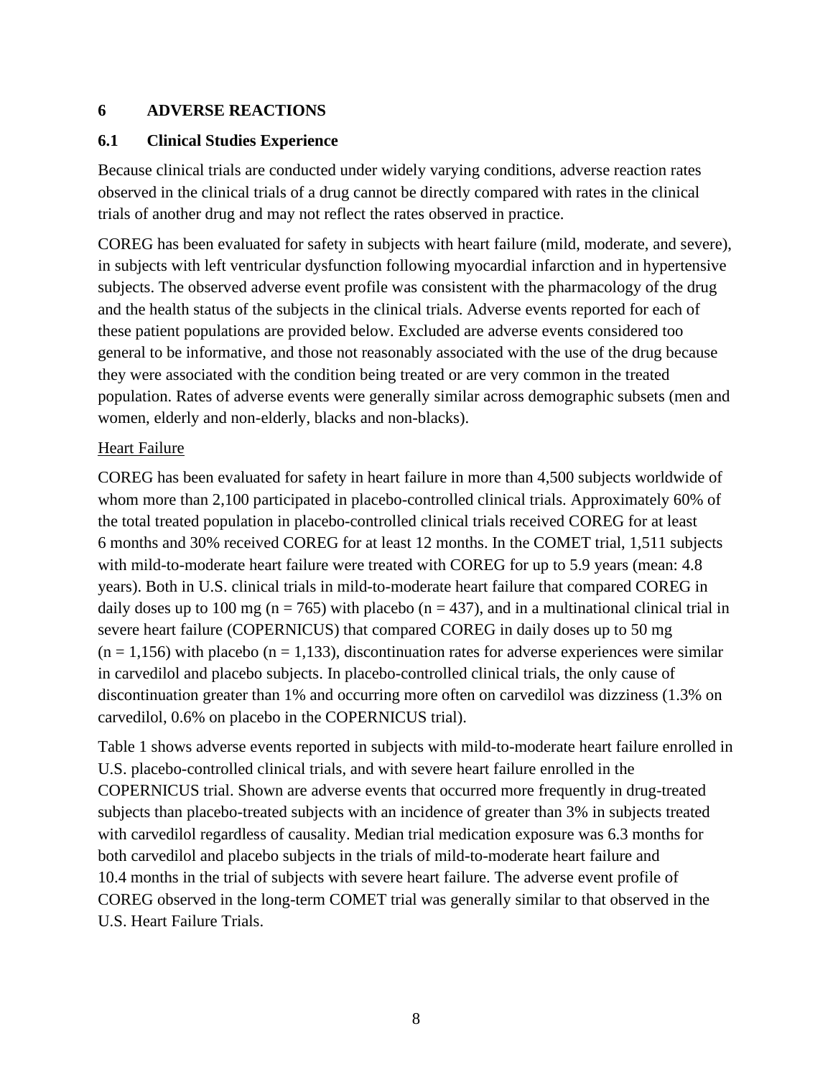#### <span id="page-7-0"></span>**6 ADVERSE REACTIONS**

#### <span id="page-7-1"></span>**6.1 Clinical Studies Experience**

Because clinical trials are conducted under widely varying conditions, adverse reaction rates observed in the clinical trials of a drug cannot be directly compared with rates in the clinical trials of another drug and may not reflect the rates observed in practice.

COREG has been evaluated for safety in subjects with heart failure (mild, moderate, and severe), in subjects with left ventricular dysfunction following myocardial infarction and in hypertensive subjects. The observed adverse event profile was consistent with the pharmacology of the drug and the health status of the subjects in the clinical trials. Adverse events reported for each of these patient populations are provided below. Excluded are adverse events considered too general to be informative, and those not reasonably associated with the use of the drug because they were associated with the condition being treated or are very common in the treated population. Rates of adverse events were generally similar across demographic subsets (men and women, elderly and non-elderly, blacks and non-blacks).

#### Heart Failure

COREG has been evaluated for safety in heart failure in more than 4,500 subjects worldwide of whom more than 2,100 participated in placebo-controlled clinical trials. Approximately 60% of the total treated population in placebo-controlled clinical trials received COREG for at least 6 months and 30% received COREG for at least 12 months. In the COMET trial, 1,511 subjects with mild-to-moderate heart failure were treated with COREG for up to 5.9 years (mean: 4.8) years). Both in U.S. clinical trials in mild-to-moderate heart failure that compared COREG in daily doses up to 100 mg ( $n = 765$ ) with placebo ( $n = 437$ ), and in a multinational clinical trial in severe heart failure (COPERNICUS) that compared COREG in daily doses up to 50 mg  $(n = 1,156)$  with placebo  $(n = 1,133)$ , discontinuation rates for adverse experiences were similar in carvedilol and placebo subjects. In placebo-controlled clinical trials, the only cause of discontinuation greater than 1% and occurring more often on carvedilol was dizziness (1.3% on carvedilol, 0.6% on placebo in the COPERNICUS trial).

Table 1 shows adverse events reported in subjects with mild-to-moderate heart failure enrolled in U.S. placebo-controlled clinical trials, and with severe heart failure enrolled in the COPERNICUS trial. Shown are adverse events that occurred more frequently in drug-treated subjects than placebo-treated subjects with an incidence of greater than 3% in subjects treated with carvedilol regardless of causality. Median trial medication exposure was 6.3 months for both carvedilol and placebo subjects in the trials of mild-to-moderate heart failure and 10.4 months in the trial of subjects with severe heart failure. The adverse event profile of COREG observed in the long-term COMET trial was generally similar to that observed in the U.S. Heart Failure Trials.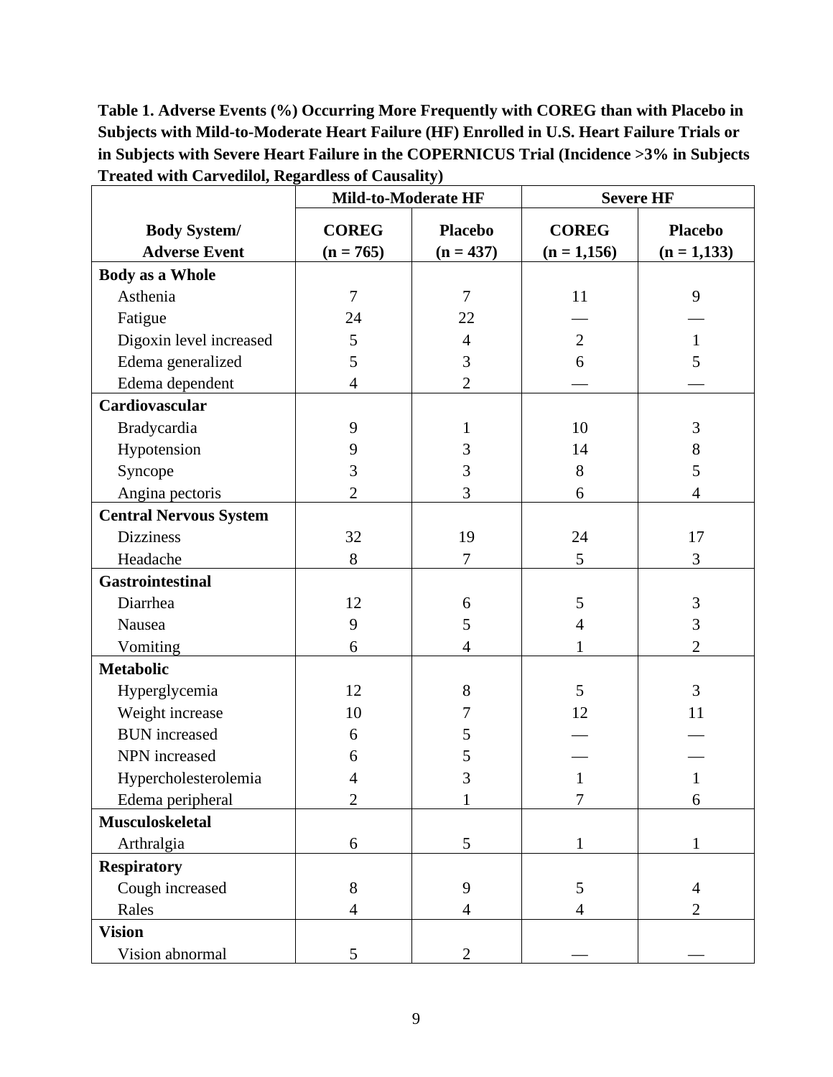**Table 1. Adverse Events (%) Occurring More Frequently with COREG than with Placebo in Subjects with Mild-to-Moderate Heart Failure (HF) Enrolled in U.S. Heart Failure Trials or in Subjects with Severe Heart Failure in the COPERNICUS Trial (Incidence >3% in Subjects Treated with Carvedilol, Regardless of Causality)**

|                               | Mild-to-Moderate HF            |                | <b>Severe HF</b> |                |  |
|-------------------------------|--------------------------------|----------------|------------------|----------------|--|
| <b>Body System/</b>           | <b>COREG</b><br><b>Placebo</b> |                | <b>COREG</b>     | <b>Placebo</b> |  |
| <b>Adverse Event</b>          | $(n = 765)$                    | $(n = 437)$    | $(n = 1,156)$    | $(n = 1, 133)$ |  |
| <b>Body as a Whole</b>        |                                |                |                  |                |  |
| Asthenia                      | $\overline{7}$                 | $\overline{7}$ | 11               | 9              |  |
| Fatigue                       | 24                             | 22             |                  |                |  |
| Digoxin level increased       | 5                              | $\overline{4}$ | $\overline{2}$   | 1              |  |
| Edema generalized             | 5                              | 3              | 6                | 5              |  |
| Edema dependent               | $\overline{4}$                 | $\overline{2}$ |                  |                |  |
| Cardiovascular                |                                |                |                  |                |  |
| Bradycardia                   | 9                              | $\mathbf{1}$   | 10               | 3              |  |
| Hypotension                   | 9                              | 3              | 14               | 8              |  |
| Syncope                       | 3                              | 3              | 8                | 5              |  |
| Angina pectoris               | $\overline{2}$                 | 3              | 6                | $\overline{4}$ |  |
| <b>Central Nervous System</b> |                                |                |                  |                |  |
| <b>Dizziness</b>              | 32                             | 19             | 24               | 17             |  |
| Headache                      | 8                              | $\overline{7}$ | 5                | 3              |  |
| <b>Gastrointestinal</b>       |                                |                |                  |                |  |
| Diarrhea                      | 12                             | 6              | 5                | $\mathfrak{Z}$ |  |
| Nausea                        | 9                              | 5              | $\overline{4}$   | $\overline{3}$ |  |
| Vomiting                      | 6                              | $\overline{4}$ | 1                | $\overline{2}$ |  |
| <b>Metabolic</b>              |                                |                |                  |                |  |
| Hyperglycemia                 | 12                             | 8              | 5                | 3              |  |
| Weight increase               | 10                             | 7              | 12               | 11             |  |
| <b>BUN</b> increased          | 6                              | 5              |                  |                |  |
| NPN increased                 | 6                              | 5              |                  |                |  |
| Hypercholesterolemia          | 4                              | 3              | $\mathbf{1}$     | $\mathbf{1}$   |  |
| Edema peripheral              | $\overline{2}$                 |                |                  | 6              |  |
| <b>Musculoskeletal</b>        |                                |                |                  |                |  |
| Arthralgia                    | 6                              | $\mathfrak{S}$ | $\mathbf{1}$     | $\mathbf{1}$   |  |
| <b>Respiratory</b>            |                                |                |                  |                |  |
| Cough increased               | 8                              | 9              | 5                | $\overline{4}$ |  |
| Rales                         | $\overline{4}$                 | $\overline{4}$ | $\overline{4}$   | $\overline{2}$ |  |
| <b>Vision</b>                 |                                |                |                  |                |  |
| Vision abnormal               | 5                              | $\overline{2}$ |                  |                |  |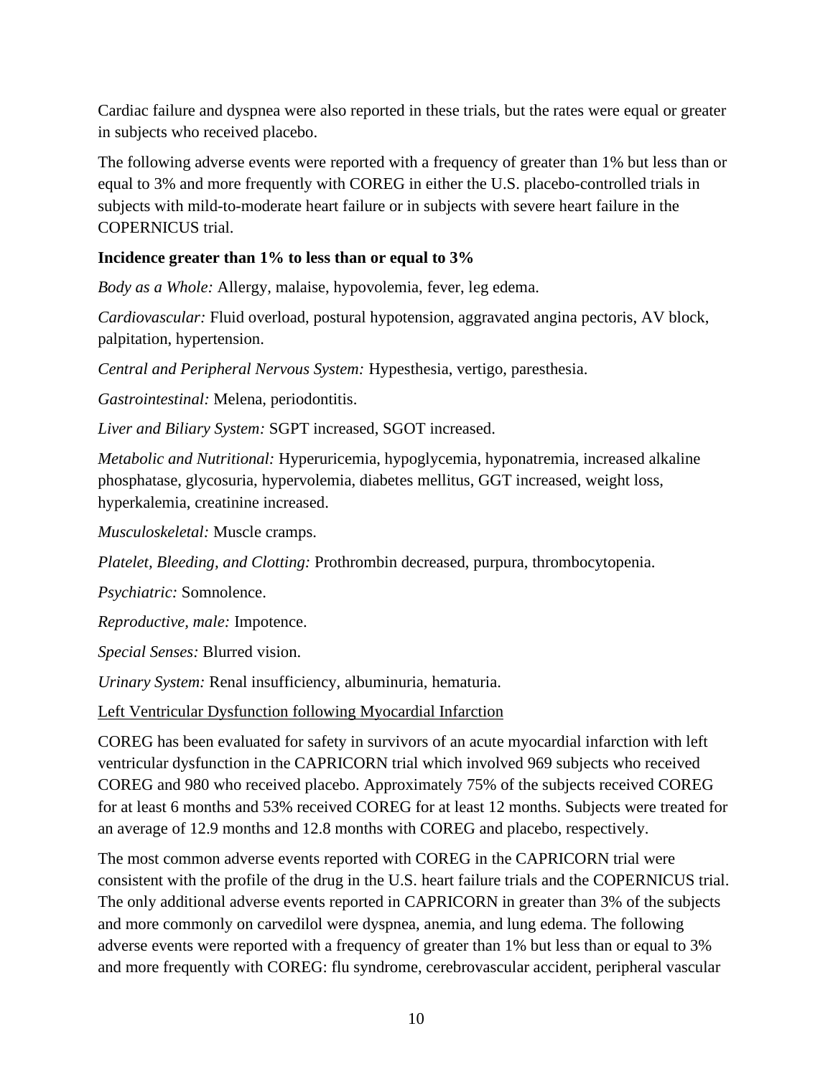Cardiac failure and dyspnea were also reported in these trials, but the rates were equal or greater in subjects who received placebo.

The following adverse events were reported with a frequency of greater than 1% but less than or equal to 3% and more frequently with COREG in either the U.S. placebo-controlled trials in subjects with mild-to-moderate heart failure or in subjects with severe heart failure in the COPERNICUS trial.

#### **Incidence greater than 1% to less than or equal to 3%**

*Body as a Whole:* Allergy, malaise, hypovolemia, fever, leg edema.

*Cardiovascular:* Fluid overload, postural hypotension, aggravated angina pectoris, AV block, palpitation, hypertension.

*Central and Peripheral Nervous System:* Hypesthesia, vertigo, paresthesia.

*Gastrointestinal:* Melena, periodontitis.

*Liver and Biliary System:* SGPT increased, SGOT increased.

*Metabolic and Nutritional:* Hyperuricemia, hypoglycemia, hyponatremia, increased alkaline phosphatase, glycosuria, hypervolemia, diabetes mellitus, GGT increased, weight loss, hyperkalemia, creatinine increased.

*Musculoskeletal:* Muscle cramps.

*Platelet, Bleeding, and Clotting:* Prothrombin decreased, purpura, thrombocytopenia.

*Psychiatric:* Somnolence.

*Reproductive, male:* Impotence.

*Special Senses:* Blurred vision.

*Urinary System:* Renal insufficiency, albuminuria, hematuria.

Left Ventricular Dysfunction following Myocardial Infarction

COREG has been evaluated for safety in survivors of an acute myocardial infarction with left ventricular dysfunction in the CAPRICORN trial which involved 969 subjects who received COREG and 980 who received placebo. Approximately 75% of the subjects received COREG for at least 6 months and 53% received COREG for at least 12 months. Subjects were treated for an average of 12.9 months and 12.8 months with COREG and placebo, respectively.

The most common adverse events reported with COREG in the CAPRICORN trial were consistent with the profile of the drug in the U.S. heart failure trials and the COPERNICUS trial. The only additional adverse events reported in CAPRICORN in greater than 3% of the subjects and more commonly on carvedilol were dyspnea, anemia, and lung edema. The following adverse events were reported with a frequency of greater than 1% but less than or equal to 3% and more frequently with COREG: flu syndrome, cerebrovascular accident, peripheral vascular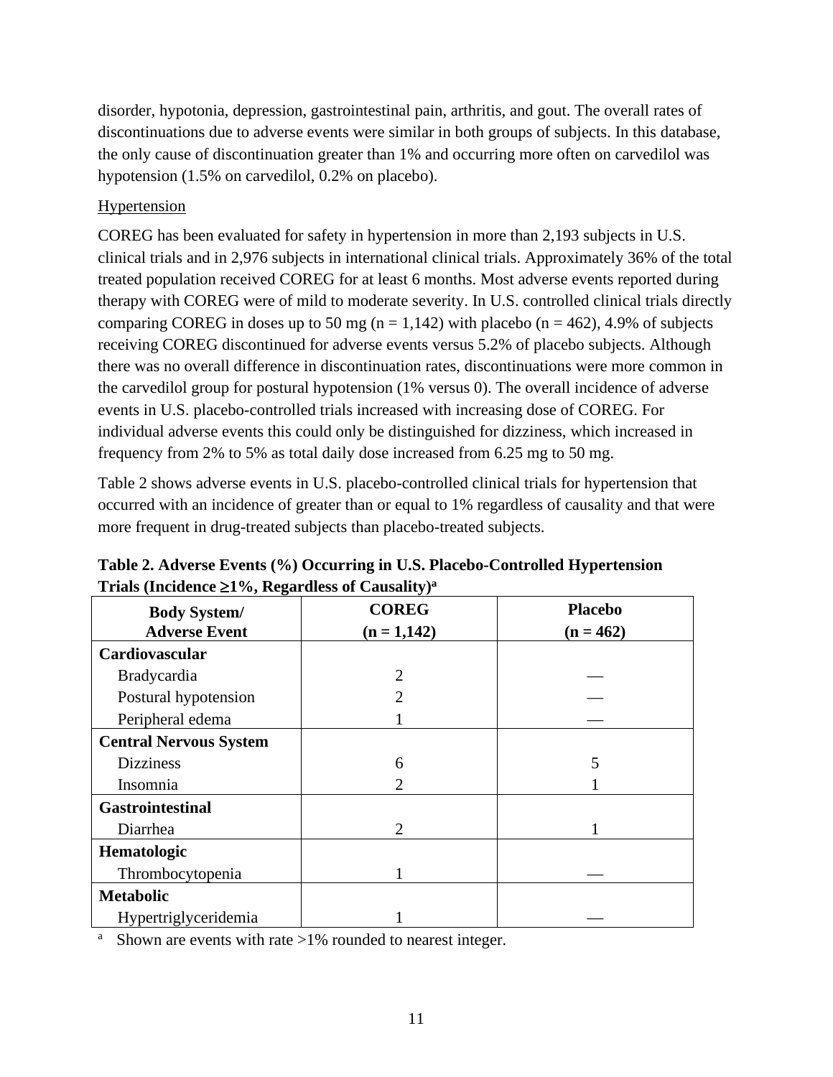disorder, hypotonia, depression, gastrointestinal pain, arthritis, and gout. The overall rates of discontinuations due to adverse events were similar in both groups of subjects. In this database, the only cause of discontinuation greater than 1% and occurring more often on carvedilol was hypotension (1.5% on carvedilol, 0.2% on placebo).

#### **Hypertension**

COREG has been evaluated for safety in hypertension in more than 2,193 subjects in U.S. clinical trials and in 2,976 subjects in international clinical trials. Approximately 36% of the total treated population received COREG for at least 6 months. Most adverse events reported during therapy with COREG were of mild to moderate severity. In U.S. controlled clinical trials directly comparing COREG in doses up to 50 mg ( $n = 1,142$ ) with placebo ( $n = 462$ ), 4.9% of subjects receiving COREG discontinued for adverse events versus 5.2% of placebo subjects. Although there was no overall difference in discontinuation rates, discontinuations were more common in the carvedilol group for postural hypotension (1% versus 0). The overall incidence of adverse events in U.S. placebo-controlled trials increased with increasing dose of COREG. For individual adverse events this could only be distinguished for dizziness, which increased in frequency from 2% to 5% as total daily dose increased from 6.25 mg to 50 mg.

Table 2 shows adverse events in U.S. placebo-controlled clinical trials for hypertension that occurred with an incidence of greater than or equal to 1% regardless of causality and that were more frequent in drug-treated subjects than placebo-treated subjects.

| <b>Body System/</b>           | <b>COREG</b>   | <b>Placebo</b> |
|-------------------------------|----------------|----------------|
| <b>Adverse Event</b>          | $(n = 1,142)$  | $(n = 462)$    |
| Cardiovascular                |                |                |
| <b>Bradycardia</b>            | $\overline{2}$ |                |
| Postural hypotension          | 2              |                |
| Peripheral edema              |                |                |
| <b>Central Nervous System</b> |                |                |
| <b>Dizziness</b>              | 6              | 5              |
| Insomnia                      | 2              |                |
| Gastrointestinal              |                |                |
| Diarrhea                      | $\overline{2}$ |                |
| Hematologic                   |                |                |
| Thrombocytopenia              |                |                |
| <b>Metabolic</b>              |                |                |
| Hypertriglyceridemia          |                |                |

**Table 2. Adverse Events (%) Occurring in U.S. Placebo-Controlled Hypertension Trials (Incidence** ≥**1%, Regardless of Causality)a**

<sup>a</sup> Shown are events with rate  $>1\%$  rounded to nearest integer.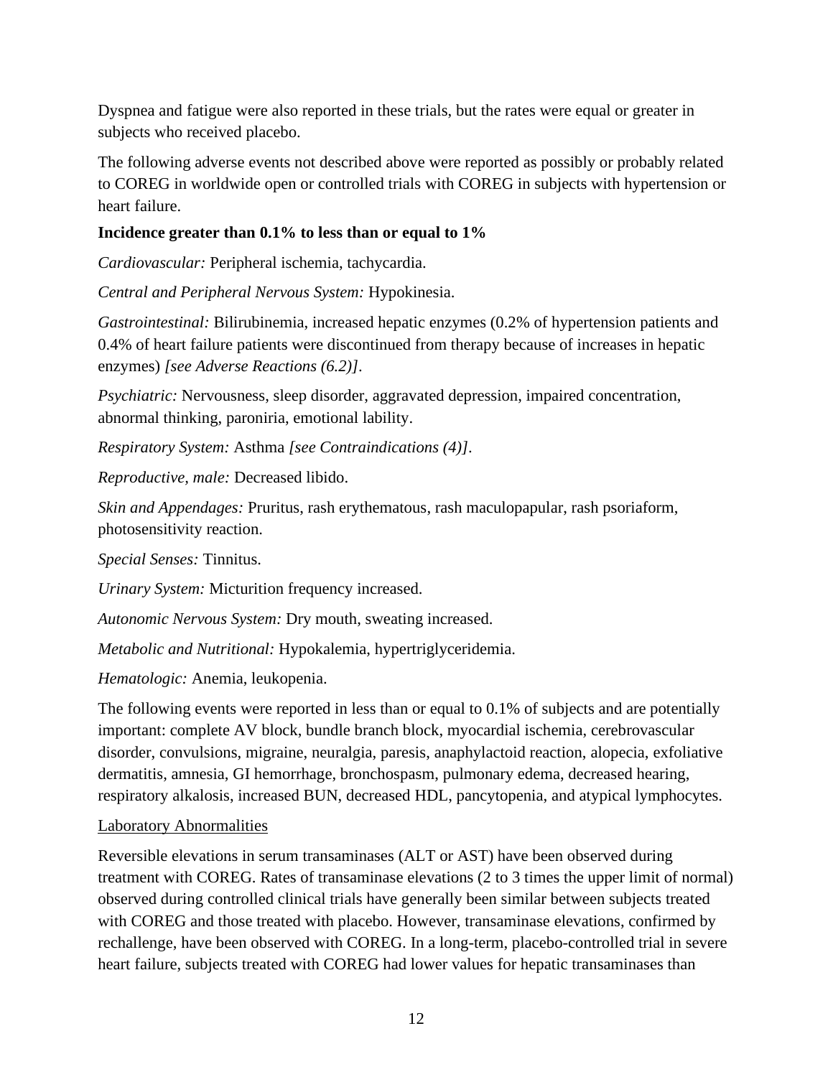Dyspnea and fatigue were also reported in these trials, but the rates were equal or greater in subjects who received placebo.

The following adverse events not described above were reported as possibly or probably related to COREG in worldwide open or controlled trials with COREG in subjects with hypertension or heart failure.

#### **Incidence greater than 0.1% to less than or equal to 1%**

*Cardiovascular:* Peripheral ischemia, tachycardia.

*Central and Peripheral Nervous System:* Hypokinesia.

*Gastrointestinal:* Bilirubinemia, increased hepatic enzymes (0.2% of hypertension patients and 0.4% of heart failure patients were discontinued from therapy because of increases in hepatic enzymes) *[see Adverse Reactions (6.2)]*.

*Psychiatric:* Nervousness, sleep disorder, aggravated depression, impaired concentration, abnormal thinking, paroniria, emotional lability.

*Respiratory System:* Asthma *[see Contraindications (4)]*.

*Reproductive, male:* Decreased libido.

*Skin and Appendages:* Pruritus, rash erythematous, rash maculopapular, rash psoriaform, photosensitivity reaction.

*Special Senses:* Tinnitus.

*Urinary System:* Micturition frequency increased.

*Autonomic Nervous System:* Dry mouth, sweating increased.

*Metabolic and Nutritional:* Hypokalemia, hypertriglyceridemia.

*Hematologic:* Anemia, leukopenia.

The following events were reported in less than or equal to 0.1% of subjects and are potentially important: complete AV block, bundle branch block, myocardial ischemia, cerebrovascular disorder, convulsions, migraine, neuralgia, paresis, anaphylactoid reaction, alopecia, exfoliative dermatitis, amnesia, GI hemorrhage, bronchospasm, pulmonary edema, decreased hearing, respiratory alkalosis, increased BUN, decreased HDL, pancytopenia, and atypical lymphocytes.

#### Laboratory Abnormalities

Reversible elevations in serum transaminases (ALT or AST) have been observed during treatment with COREG. Rates of transaminase elevations (2 to 3 times the upper limit of normal) observed during controlled clinical trials have generally been similar between subjects treated with COREG and those treated with placebo. However, transaminase elevations, confirmed by rechallenge, have been observed with COREG. In a long-term, placebo-controlled trial in severe heart failure, subjects treated with COREG had lower values for hepatic transaminases than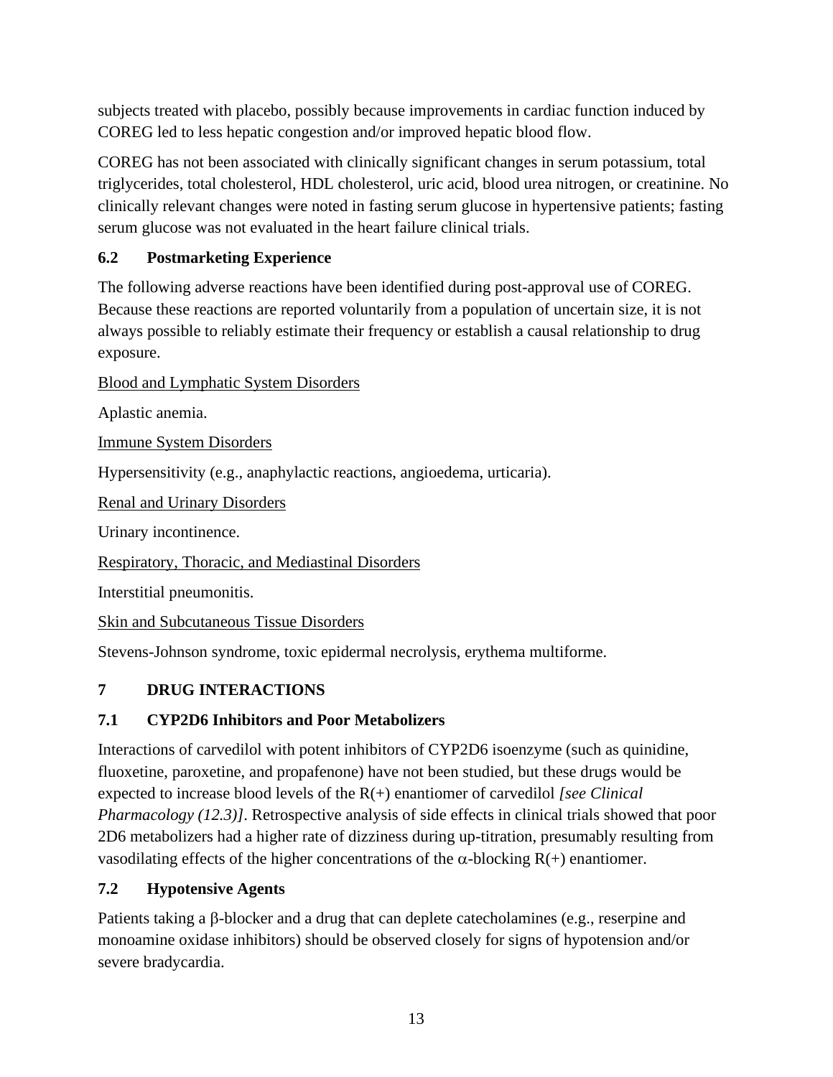subjects treated with placebo, possibly because improvements in cardiac function induced by COREG led to less hepatic congestion and/or improved hepatic blood flow.

COREG has not been associated with clinically significant changes in serum potassium, total triglycerides, total cholesterol, HDL cholesterol, uric acid, blood urea nitrogen, or creatinine. No clinically relevant changes were noted in fasting serum glucose in hypertensive patients; fasting serum glucose was not evaluated in the heart failure clinical trials.

## <span id="page-12-0"></span>**6.2 Postmarketing Experience**

The following adverse reactions have been identified during post-approval use of COREG. Because these reactions are reported voluntarily from a population of uncertain size, it is not always possible to reliably estimate their frequency or establish a causal relationship to drug exposure.

Blood and Lymphatic System Disorders

Aplastic anemia.

Immune System Disorders

Hypersensitivity (e.g., anaphylactic reactions, angioedema, urticaria).

Renal and Urinary Disorders

Urinary incontinence.

Respiratory, Thoracic, and Mediastinal Disorders

Interstitial pneumonitis.

Skin and Subcutaneous Tissue Disorders

<span id="page-12-1"></span>Stevens-Johnson syndrome, toxic epidermal necrolysis, erythema multiforme.

## **7 DRUG INTERACTIONS**

### <span id="page-12-2"></span>**7.1 CYP2D6 Inhibitors and Poor Metabolizers**

Interactions of carvedilol with potent inhibitors of CYP2D6 isoenzyme (such as quinidine, fluoxetine, paroxetine, and propafenone) have not been studied, but these drugs would be expected to increase blood levels of the R(+) enantiomer of carvedilol *[see Clinical Pharmacology (12.3)]*. Retrospective analysis of side effects in clinical trials showed that poor 2D6 metabolizers had a higher rate of dizziness during up-titration, presumably resulting from vasodilating effects of the higher concentrations of the  $\alpha$ -blocking R(+) enantiomer.

### <span id="page-12-3"></span>**7.2 Hypotensive Agents**

Patients taking a β-blocker and a drug that can deplete catecholamines (e.g., reserpine and monoamine oxidase inhibitors) should be observed closely for signs of hypotension and/or severe bradycardia.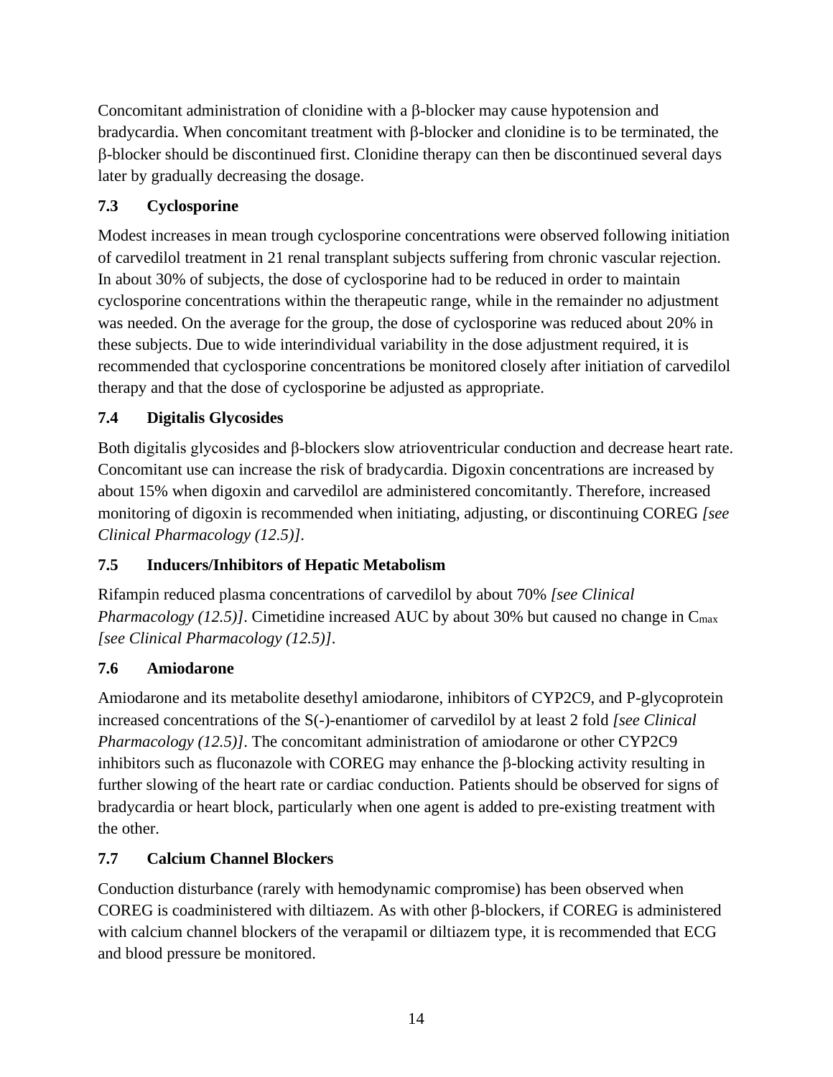Concomitant administration of clonidine with a β-blocker may cause hypotension and bradycardia. When concomitant treatment with β-blocker and clonidine is to be terminated, the β-blocker should be discontinued first. Clonidine therapy can then be discontinued several days later by gradually decreasing the dosage.

## <span id="page-13-0"></span>**7.3 Cyclosporine**

Modest increases in mean trough cyclosporine concentrations were observed following initiation of carvedilol treatment in 21 renal transplant subjects suffering from chronic vascular rejection. In about 30% of subjects, the dose of cyclosporine had to be reduced in order to maintain cyclosporine concentrations within the therapeutic range, while in the remainder no adjustment was needed. On the average for the group, the dose of cyclosporine was reduced about 20% in these subjects. Due to wide interindividual variability in the dose adjustment required, it is recommended that cyclosporine concentrations be monitored closely after initiation of carvedilol therapy and that the dose of cyclosporine be adjusted as appropriate.

## <span id="page-13-1"></span>**7.4 Digitalis Glycosides**

Both digitalis glycosides and β-blockers slow atrioventricular conduction and decrease heart rate. Concomitant use can increase the risk of bradycardia. Digoxin concentrations are increased by about 15% when digoxin and carvedilol are administered concomitantly. Therefore, increased monitoring of digoxin is recommended when initiating, adjusting, or discontinuing COREG *[see Clinical Pharmacology (12.5)]*.

## <span id="page-13-2"></span>**7.5 Inducers/Inhibitors of Hepatic Metabolism**

Rifampin reduced plasma concentrations of carvedilol by about 70% *[see Clinical Pharmacology* (12.5)]. Cimetidine increased AUC by about 30% but caused no change in C<sub>max</sub> *[see Clinical Pharmacology (12.5)]*.

## <span id="page-13-3"></span>**7.6 Amiodarone**

Amiodarone and its metabolite desethyl amiodarone, inhibitors of CYP2C9, and P-glycoprotein increased concentrations of the S(-)-enantiomer of carvedilol by at least 2 fold *[see Clinical Pharmacology (12.5)]*. The concomitant administration of amiodarone or other CYP2C9 inhibitors such as fluconazole with COREG may enhance the β-blocking activity resulting in further slowing of the heart rate or cardiac conduction. Patients should be observed for signs of bradycardia or heart block, particularly when one agent is added to pre-existing treatment with the other.

## <span id="page-13-4"></span>**7.7 Calcium Channel Blockers**

Conduction disturbance (rarely with hemodynamic compromise) has been observed when COREG is coadministered with diltiazem. As with other β-blockers, if COREG is administered with calcium channel blockers of the verapamil or diltiazem type, it is recommended that ECG and blood pressure be monitored.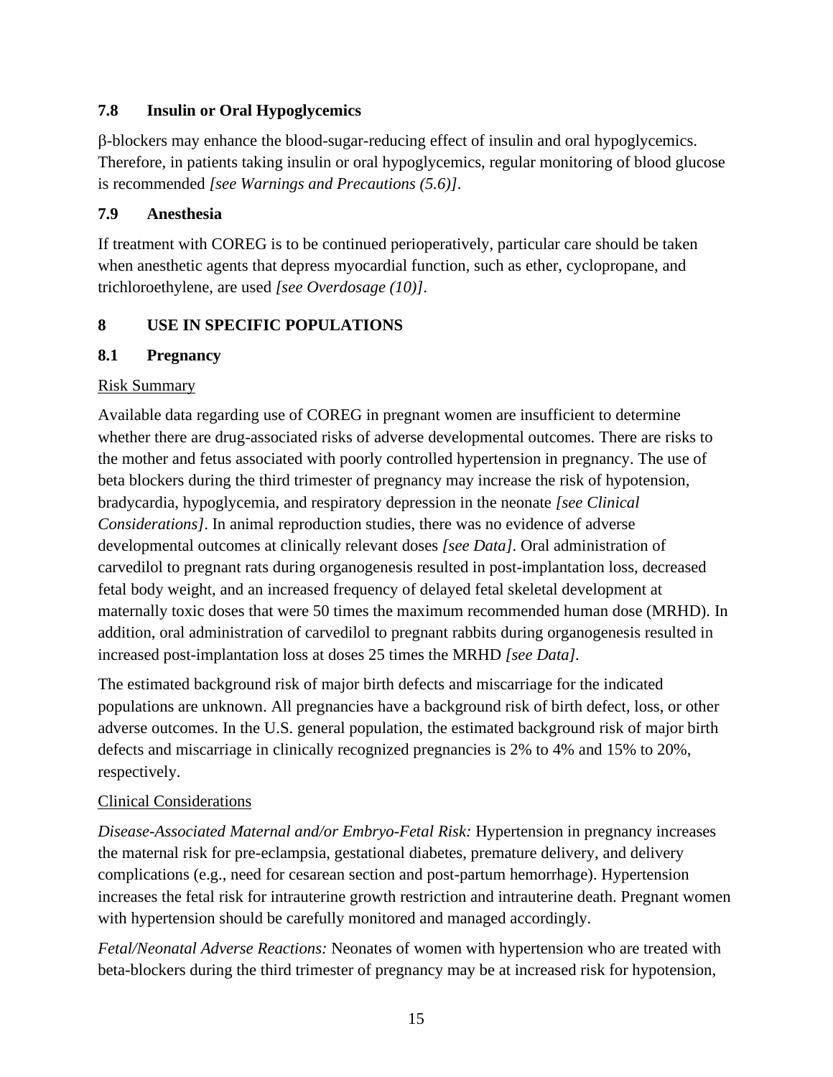## <span id="page-14-0"></span>**7.8 Insulin or Oral Hypoglycemics**

β-blockers may enhance the blood-sugar-reducing effect of insulin and oral hypoglycemics. Therefore, in patients taking insulin or oral hypoglycemics, regular monitoring of blood glucose is recommended *[see Warnings and Precautions (5.6)]*.

## <span id="page-14-1"></span>**7.9 Anesthesia**

If treatment with COREG is to be continued perioperatively, particular care should be taken when anesthetic agents that depress myocardial function, such as ether, cyclopropane, and trichloroethylene, are used *[see Overdosage (10)]*.

## <span id="page-14-2"></span>**8 USE IN SPECIFIC POPULATIONS**

## <span id="page-14-3"></span>**8.1 Pregnancy**

## Risk Summary

Available data regarding use of COREG in pregnant women are insufficient to determine whether there are drug-associated risks of adverse developmental outcomes. There are risks to the mother and fetus associated with poorly controlled hypertension in pregnancy. The use of beta blockers during the third trimester of pregnancy may increase the risk of hypotension, bradycardia, hypoglycemia, and respiratory depression in the neonate *[see Clinical Considerations]*. In animal reproduction studies, there was no evidence of adverse developmental outcomes at clinically relevant doses *[see Data]*. Oral administration of carvedilol to pregnant rats during organogenesis resulted in post-implantation loss, decreased fetal body weight, and an increased frequency of delayed fetal skeletal development at maternally toxic doses that were 50 times the maximum recommended human dose (MRHD). In addition, oral administration of carvedilol to pregnant rabbits during organogenesis resulted in increased post-implantation loss at doses 25 times the MRHD *[see Data].*

The estimated background risk of major birth defects and miscarriage for the indicated populations are unknown. All pregnancies have a background risk of birth defect, loss, or other adverse outcomes. In the U.S. general population, the estimated background risk of major birth defects and miscarriage in clinically recognized pregnancies is 2% to 4% and 15% to 20%, respectively.

## Clinical Considerations

*Disease-Associated Maternal and/or Embryo-Fetal Risk:* Hypertension in pregnancy increases the maternal risk for pre-eclampsia, gestational diabetes, premature delivery, and delivery complications (e.g., need for cesarean section and post-partum hemorrhage). Hypertension increases the fetal risk for intrauterine growth restriction and intrauterine death. Pregnant women with hypertension should be carefully monitored and managed accordingly.

*Fetal/Neonatal Adverse Reactions:* Neonates of women with hypertension who are treated with beta-blockers during the third trimester of pregnancy may be at increased risk for hypotension,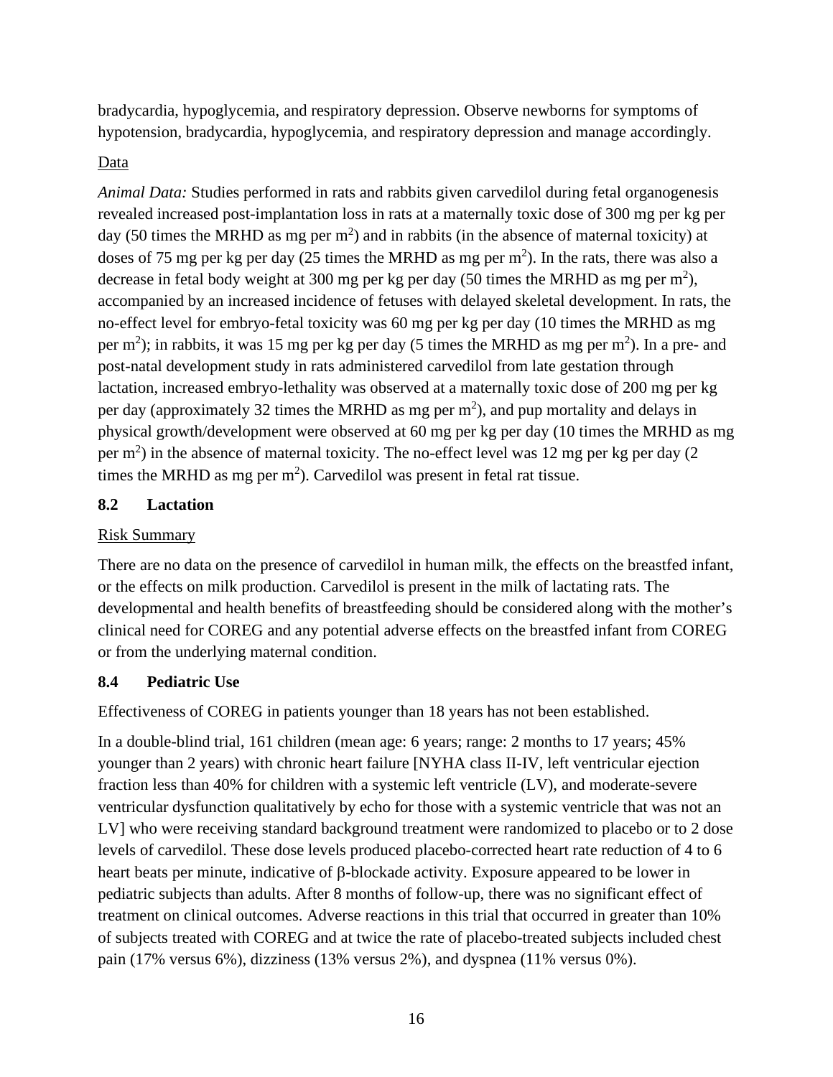bradycardia, hypoglycemia, and respiratory depression. Observe newborns for symptoms of hypotension, bradycardia, hypoglycemia, and respiratory depression and manage accordingly.

#### Data

*Animal Data:* Studies performed in rats and rabbits given carvedilol during fetal organogenesis revealed increased post-implantation loss in rats at a maternally toxic dose of 300 mg per kg per day (50 times the MRHD as mg per  $m<sup>2</sup>$ ) and in rabbits (in the absence of maternal toxicity) at doses of 75 mg per kg per day (25 times the MRHD as mg per  $m<sup>2</sup>$ ). In the rats, there was also a decrease in fetal body weight at 300 mg per kg per day (50 times the MRHD as mg per  $m^2$ ), accompanied by an increased incidence of fetuses with delayed skeletal development. In rats, the no-effect level for embryo-fetal toxicity was 60 mg per kg per day (10 times the MRHD as mg per m<sup>2</sup>); in rabbits, it was 15 mg per kg per day (5 times the MRHD as mg per m<sup>2</sup>). In a pre- and post-natal development study in rats administered carvedilol from late gestation through lactation, increased embryo-lethality was observed at a maternally toxic dose of 200 mg per kg per day (approximately 32 times the MRHD as mg per  $m^2$ ), and pup mortality and delays in physical growth/development were observed at 60 mg per kg per day (10 times the MRHD as mg per  $m<sup>2</sup>$ ) in the absence of maternal toxicity. The no-effect level was 12 mg per kg per day (2) times the MRHD as mg per  $m<sup>2</sup>$ ). Carvedilol was present in fetal rat tissue.

#### <span id="page-15-0"></span>**8.2 Lactation**

#### Risk Summary

There are no data on the presence of carvedilol in human milk, the effects on the breastfed infant, or the effects on milk production. Carvedilol is present in the milk of lactating rats. The developmental and health benefits of breastfeeding should be considered along with the mother's clinical need for COREG and any potential adverse effects on the breastfed infant from COREG or from the underlying maternal condition.

### <span id="page-15-1"></span>**8.4 Pediatric Use**

Effectiveness of COREG in patients younger than 18 years has not been established.

In a double-blind trial, 161 children (mean age: 6 years; range: 2 months to 17 years; 45% younger than 2 years) with chronic heart failure [NYHA class II-IV, left ventricular ejection fraction less than 40% for children with a systemic left ventricle (LV), and moderate-severe ventricular dysfunction qualitatively by echo for those with a systemic ventricle that was not an LV] who were receiving standard background treatment were randomized to placebo or to 2 dose levels of carvedilol. These dose levels produced placebo-corrected heart rate reduction of 4 to 6 heart beats per minute, indicative of β-blockade activity. Exposure appeared to be lower in pediatric subjects than adults. After 8 months of follow-up, there was no significant effect of treatment on clinical outcomes. Adverse reactions in this trial that occurred in greater than 10% of subjects treated with COREG and at twice the rate of placebo-treated subjects included chest pain (17% versus 6%), dizziness (13% versus 2%), and dyspnea (11% versus 0%).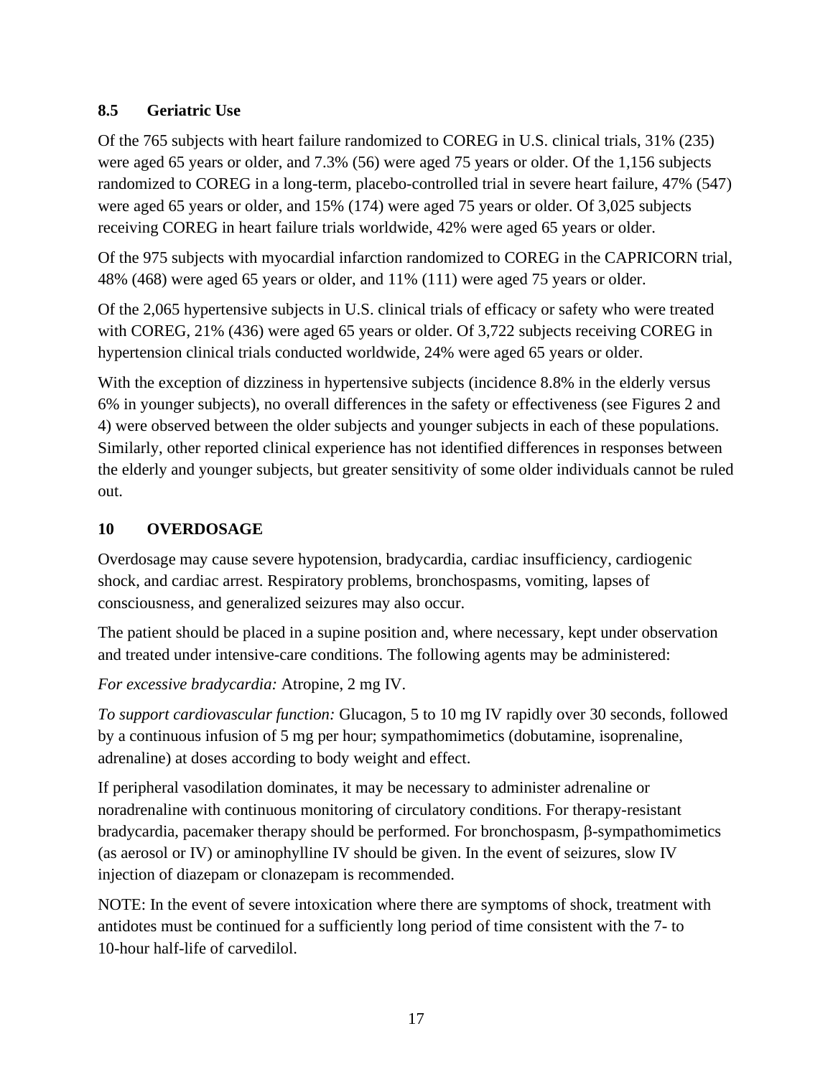## <span id="page-16-0"></span>**8.5 Geriatric Use**

Of the 765 subjects with heart failure randomized to COREG in U.S. clinical trials, 31% (235) were aged 65 years or older, and 7.3% (56) were aged 75 years or older. Of the 1,156 subjects randomized to COREG in a long-term, placebo-controlled trial in severe heart failure, 47% (547) were aged 65 years or older, and 15% (174) were aged 75 years or older. Of 3,025 subjects receiving COREG in heart failure trials worldwide, 42% were aged 65 years or older.

Of the 975 subjects with myocardial infarction randomized to COREG in the CAPRICORN trial, 48% (468) were aged 65 years or older, and 11% (111) were aged 75 years or older.

Of the 2,065 hypertensive subjects in U.S. clinical trials of efficacy or safety who were treated with COREG, 21% (436) were aged 65 years or older. Of 3,722 subjects receiving COREG in hypertension clinical trials conducted worldwide, 24% were aged 65 years or older.

With the exception of dizziness in hypertensive subjects (incidence 8.8% in the elderly versus 6% in younger subjects), no overall differences in the safety or effectiveness (see Figures 2 and 4) were observed between the older subjects and younger subjects in each of these populations. Similarly, other reported clinical experience has not identified differences in responses between the elderly and younger subjects, but greater sensitivity of some older individuals cannot be ruled out.

## <span id="page-16-1"></span>**10 OVERDOSAGE**

Overdosage may cause severe hypotension, bradycardia, cardiac insufficiency, cardiogenic shock, and cardiac arrest. Respiratory problems, bronchospasms, vomiting, lapses of consciousness, and generalized seizures may also occur.

The patient should be placed in a supine position and, where necessary, kept under observation and treated under intensive-care conditions. The following agents may be administered:

*For excessive bradycardia:* Atropine, 2 mg IV.

*To support cardiovascular function:* Glucagon, 5 to 10 mg IV rapidly over 30 seconds, followed by a continuous infusion of 5 mg per hour; sympathomimetics (dobutamine, isoprenaline, adrenaline) at doses according to body weight and effect.

If peripheral vasodilation dominates, it may be necessary to administer adrenaline or noradrenaline with continuous monitoring of circulatory conditions. For therapy-resistant bradycardia, pacemaker therapy should be performed. For bronchospasm, β-sympathomimetics (as aerosol or IV) or aminophylline IV should be given. In the event of seizures, slow IV injection of diazepam or clonazepam is recommended.

NOTE: In the event of severe intoxication where there are symptoms of shock, treatment with antidotes must be continued for a sufficiently long period of time consistent with the 7- to 10-hour half-life of carvedilol.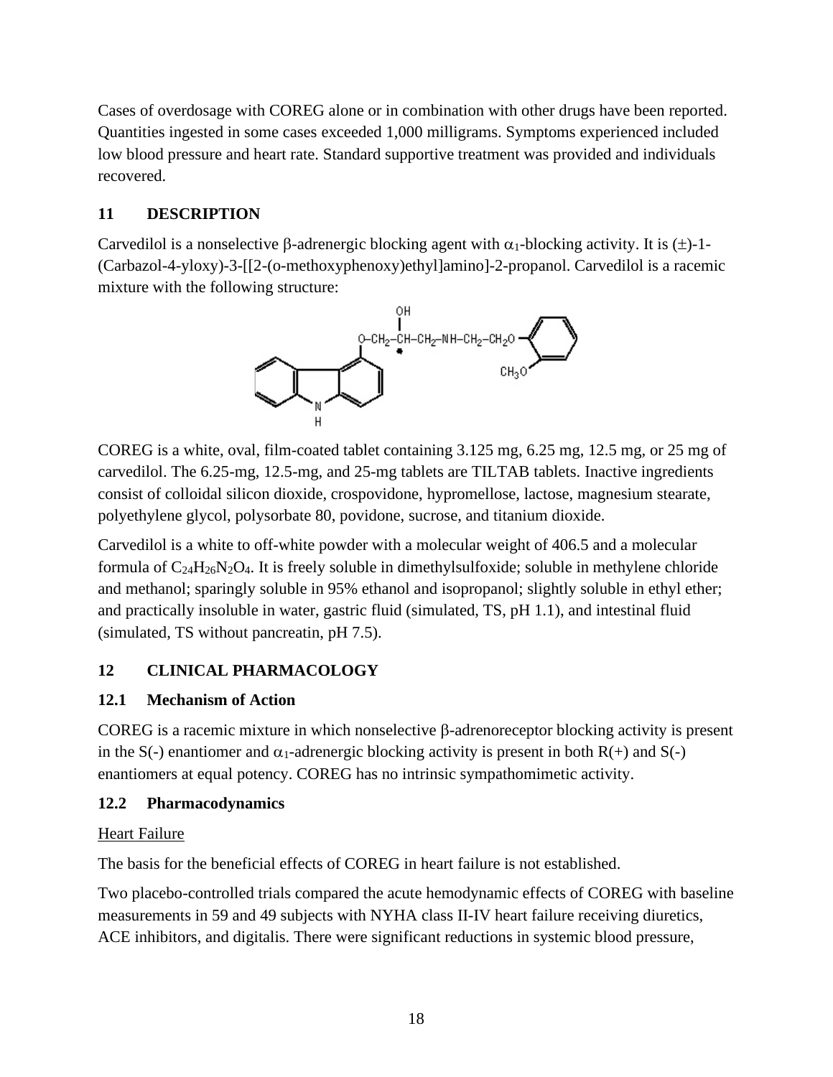Cases of overdosage with COREG alone or in combination with other drugs have been reported. Quantities ingested in some cases exceeded 1,000 milligrams. Symptoms experienced included low blood pressure and heart rate. Standard supportive treatment was provided and individuals recovered.

## <span id="page-17-0"></span>**11 DESCRIPTION**

Carvedilol is a nonselective β-adrenergic blocking agent with  $\alpha_1$ -blocking activity. It is ( $\pm$ )-1-(Carbazol-4-yloxy)-3-[[2-(o-methoxyphenoxy)ethyl]amino]-2-propanol. Carvedilol is a racemic mixture with the following structure:



COREG is a white, oval, film-coated tablet containing 3.125 mg, 6.25 mg, 12.5 mg, or 25 mg of carvedilol. The 6.25-mg, 12.5-mg, and 25-mg tablets are TILTAB tablets. Inactive ingredients consist of colloidal silicon dioxide, crospovidone, hypromellose, lactose, magnesium stearate, polyethylene glycol, polysorbate 80, povidone, sucrose, and titanium dioxide.

Carvedilol is a white to off-white powder with a molecular weight of 406.5 and a molecular formula of  $C_{24}H_{26}N_2O_4$ . It is freely soluble in dimethylsulfoxide; soluble in methylene chloride and methanol; sparingly soluble in 95% ethanol and isopropanol; slightly soluble in ethyl ether; and practically insoluble in water, gastric fluid (simulated, TS, pH 1.1), and intestinal fluid (simulated, TS without pancreatin, pH 7.5).

## <span id="page-17-1"></span>**12 CLINICAL PHARMACOLOGY**

### <span id="page-17-2"></span>**12.1 Mechanism of Action**

COREG is a racemic mixture in which nonselective β-adrenoreceptor blocking activity is present in the S(-) enantiomer and  $\alpha_1$ -adrenergic blocking activity is present in both R(+) and S(-) enantiomers at equal potency. COREG has no intrinsic sympathomimetic activity.

### <span id="page-17-3"></span>**12.2 Pharmacodynamics**

### Heart Failure

The basis for the beneficial effects of COREG in heart failure is not established.

Two placebo-controlled trials compared the acute hemodynamic effects of COREG with baseline measurements in 59 and 49 subjects with NYHA class II-IV heart failure receiving diuretics, ACE inhibitors, and digitalis. There were significant reductions in systemic blood pressure,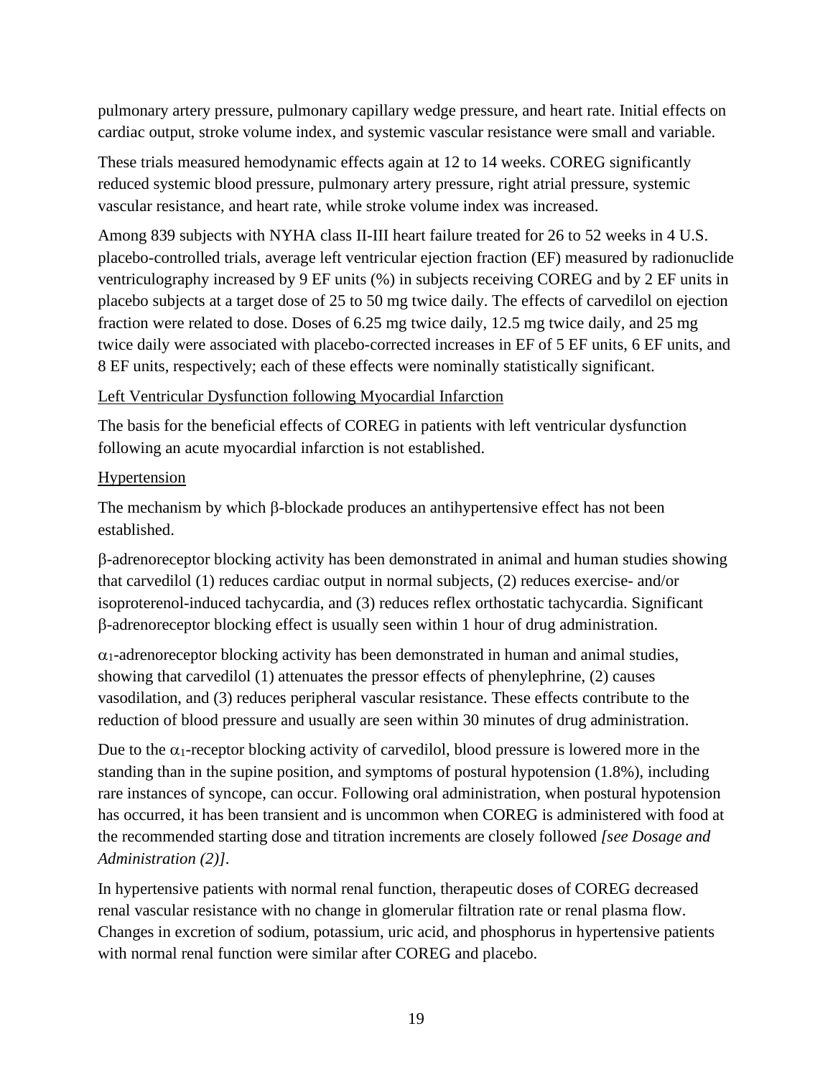pulmonary artery pressure, pulmonary capillary wedge pressure, and heart rate. Initial effects on cardiac output, stroke volume index, and systemic vascular resistance were small and variable.

These trials measured hemodynamic effects again at 12 to 14 weeks. COREG significantly reduced systemic blood pressure, pulmonary artery pressure, right atrial pressure, systemic vascular resistance, and heart rate, while stroke volume index was increased.

Among 839 subjects with NYHA class II-III heart failure treated for 26 to 52 weeks in 4 U.S. placebo-controlled trials, average left ventricular ejection fraction (EF) measured by radionuclide ventriculography increased by 9 EF units (%) in subjects receiving COREG and by 2 EF units in placebo subjects at a target dose of 25 to 50 mg twice daily. The effects of carvedilol on ejection fraction were related to dose. Doses of 6.25 mg twice daily, 12.5 mg twice daily, and 25 mg twice daily were associated with placebo-corrected increases in EF of 5 EF units, 6 EF units, and 8 EF units, respectively; each of these effects were nominally statistically significant.

#### Left Ventricular Dysfunction following Myocardial Infarction

The basis for the beneficial effects of COREG in patients with left ventricular dysfunction following an acute myocardial infarction is not established.

#### **Hypertension**

The mechanism by which β-blockade produces an antihypertensive effect has not been established.

β-adrenoreceptor blocking activity has been demonstrated in animal and human studies showing that carvedilol (1) reduces cardiac output in normal subjects, (2) reduces exercise- and/or isoproterenol-induced tachycardia, and (3) reduces reflex orthostatic tachycardia. Significant β-adrenoreceptor blocking effect is usually seen within 1 hour of drug administration.

 $\alpha_1$ -adrenoreceptor blocking activity has been demonstrated in human and animal studies, showing that carvedilol (1) attenuates the pressor effects of phenylephrine, (2) causes vasodilation, and (3) reduces peripheral vascular resistance. These effects contribute to the reduction of blood pressure and usually are seen within 30 minutes of drug administration.

Due to the  $\alpha_1$ -receptor blocking activity of carvedilol, blood pressure is lowered more in the standing than in the supine position, and symptoms of postural hypotension (1.8%), including rare instances of syncope, can occur. Following oral administration, when postural hypotension has occurred, it has been transient and is uncommon when COREG is administered with food at the recommended starting dose and titration increments are closely followed *[see Dosage and Administration (2)]*.

In hypertensive patients with normal renal function, therapeutic doses of COREG decreased renal vascular resistance with no change in glomerular filtration rate or renal plasma flow. Changes in excretion of sodium, potassium, uric acid, and phosphorus in hypertensive patients with normal renal function were similar after COREG and placebo.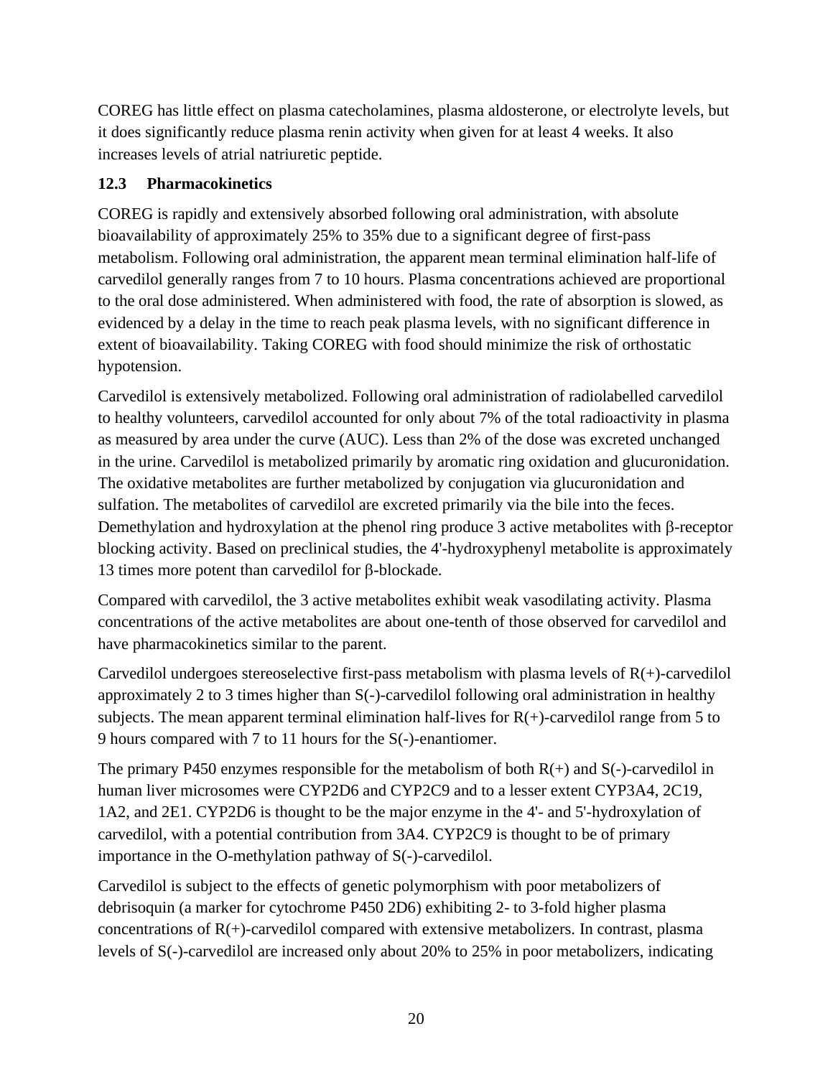COREG has little effect on plasma catecholamines, plasma aldosterone, or electrolyte levels, but it does significantly reduce plasma renin activity when given for at least 4 weeks. It also increases levels of atrial natriuretic peptide.

#### <span id="page-19-0"></span>**12.3 Pharmacokinetics**

COREG is rapidly and extensively absorbed following oral administration, with absolute bioavailability of approximately 25% to 35% due to a significant degree of first-pass metabolism. Following oral administration, the apparent mean terminal elimination half-life of carvedilol generally ranges from 7 to 10 hours. Plasma concentrations achieved are proportional to the oral dose administered. When administered with food, the rate of absorption is slowed, as evidenced by a delay in the time to reach peak plasma levels, with no significant difference in extent of bioavailability. Taking COREG with food should minimize the risk of orthostatic hypotension.

Carvedilol is extensively metabolized. Following oral administration of radiolabelled carvedilol to healthy volunteers, carvedilol accounted for only about 7% of the total radioactivity in plasma as measured by area under the curve (AUC). Less than 2% of the dose was excreted unchanged in the urine. Carvedilol is metabolized primarily by aromatic ring oxidation and glucuronidation. The oxidative metabolites are further metabolized by conjugation via glucuronidation and sulfation. The metabolites of carvedilol are excreted primarily via the bile into the feces. Demethylation and hydroxylation at the phenol ring produce 3 active metabolites with β-receptor blocking activity. Based on preclinical studies, the 4'-hydroxyphenyl metabolite is approximately 13 times more potent than carvedilol for β-blockade.

Compared with carvedilol, the 3 active metabolites exhibit weak vasodilating activity. Plasma concentrations of the active metabolites are about one-tenth of those observed for carvedilol and have pharmacokinetics similar to the parent.

Carvedilol undergoes stereoselective first-pass metabolism with plasma levels of  $R(+)$ -carvedilol approximately 2 to 3 times higher than S(-)-carvedilol following oral administration in healthy subjects. The mean apparent terminal elimination half-lives for  $R(+)$ -carvedilol range from 5 to 9 hours compared with 7 to 11 hours for the S(-)-enantiomer.

The primary P450 enzymes responsible for the metabolism of both  $R(+)$  and  $S(-)$ -carvedilol in human liver microsomes were CYP2D6 and CYP2C9 and to a lesser extent CYP3A4, 2C19, 1A2, and 2E1. CYP2D6 is thought to be the major enzyme in the 4'- and 5'-hydroxylation of carvedilol, with a potential contribution from 3A4. CYP2C9 is thought to be of primary importance in the O-methylation pathway of S(-)-carvedilol.

Carvedilol is subject to the effects of genetic polymorphism with poor metabolizers of debrisoquin (a marker for cytochrome P450 2D6) exhibiting 2- to 3-fold higher plasma concentrations of  $R(+)$ -carvedilol compared with extensive metabolizers. In contrast, plasma levels of S(-)-carvedilol are increased only about 20% to 25% in poor metabolizers, indicating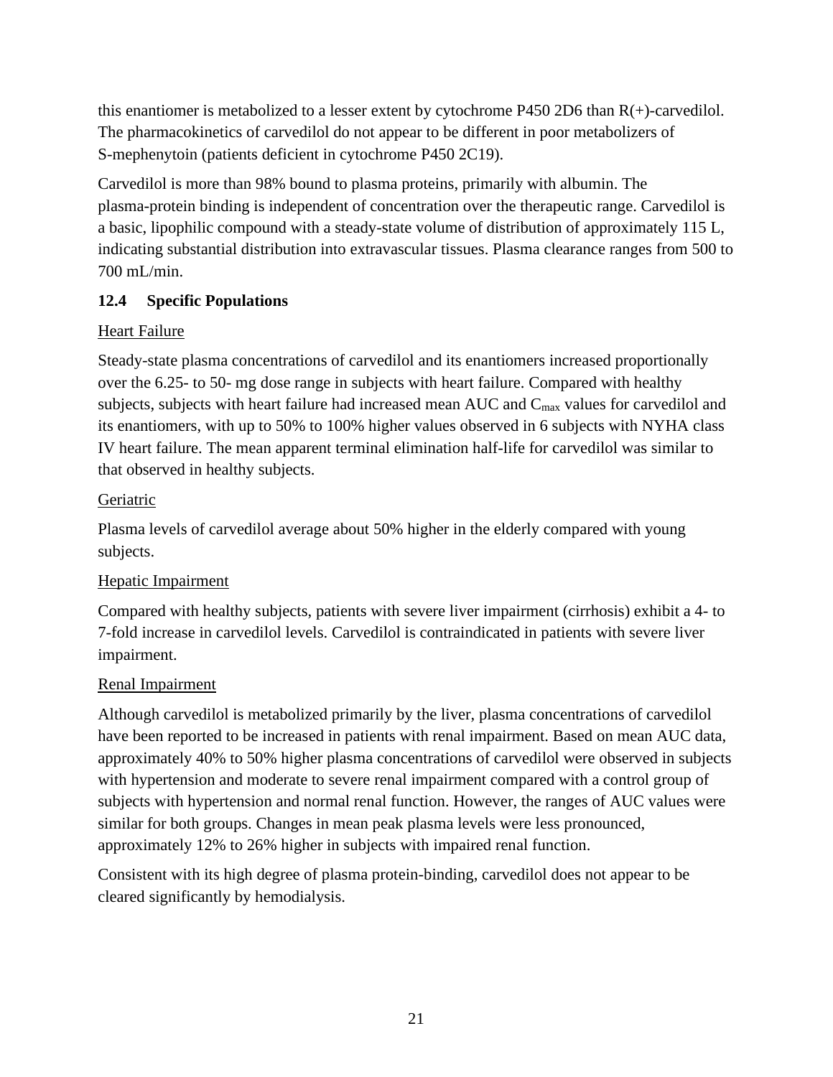this enantiomer is metabolized to a lesser extent by cytochrome P450 2D6 than R(+)-carvedilol. The pharmacokinetics of carvedilol do not appear to be different in poor metabolizers of S-mephenytoin (patients deficient in cytochrome P450 2C19).

Carvedilol is more than 98% bound to plasma proteins, primarily with albumin. The plasma-protein binding is independent of concentration over the therapeutic range. Carvedilol is a basic, lipophilic compound with a steady-state volume of distribution of approximately 115 L, indicating substantial distribution into extravascular tissues. Plasma clearance ranges from 500 to 700 mL/min.

### <span id="page-20-0"></span>**12.4 Specific Populations**

#### Heart Failure

Steady-state plasma concentrations of carvedilol and its enantiomers increased proportionally over the 6.25- to 50- mg dose range in subjects with heart failure. Compared with healthy subjects, subjects with heart failure had increased mean AUC and C<sub>max</sub> values for carvedilol and its enantiomers, with up to 50% to 100% higher values observed in 6 subjects with NYHA class IV heart failure. The mean apparent terminal elimination half-life for carvedilol was similar to that observed in healthy subjects.

#### **Geriatric**

Plasma levels of carvedilol average about 50% higher in the elderly compared with young subjects.

### Hepatic Impairment

Compared with healthy subjects, patients with severe liver impairment (cirrhosis) exhibit a 4- to 7-fold increase in carvedilol levels. Carvedilol is contraindicated in patients with severe liver impairment.

### Renal Impairment

Although carvedilol is metabolized primarily by the liver, plasma concentrations of carvedilol have been reported to be increased in patients with renal impairment. Based on mean AUC data, approximately 40% to 50% higher plasma concentrations of carvedilol were observed in subjects with hypertension and moderate to severe renal impairment compared with a control group of subjects with hypertension and normal renal function. However, the ranges of AUC values were similar for both groups. Changes in mean peak plasma levels were less pronounced, approximately 12% to 26% higher in subjects with impaired renal function.

Consistent with its high degree of plasma protein-binding, carvedilol does not appear to be cleared significantly by hemodialysis.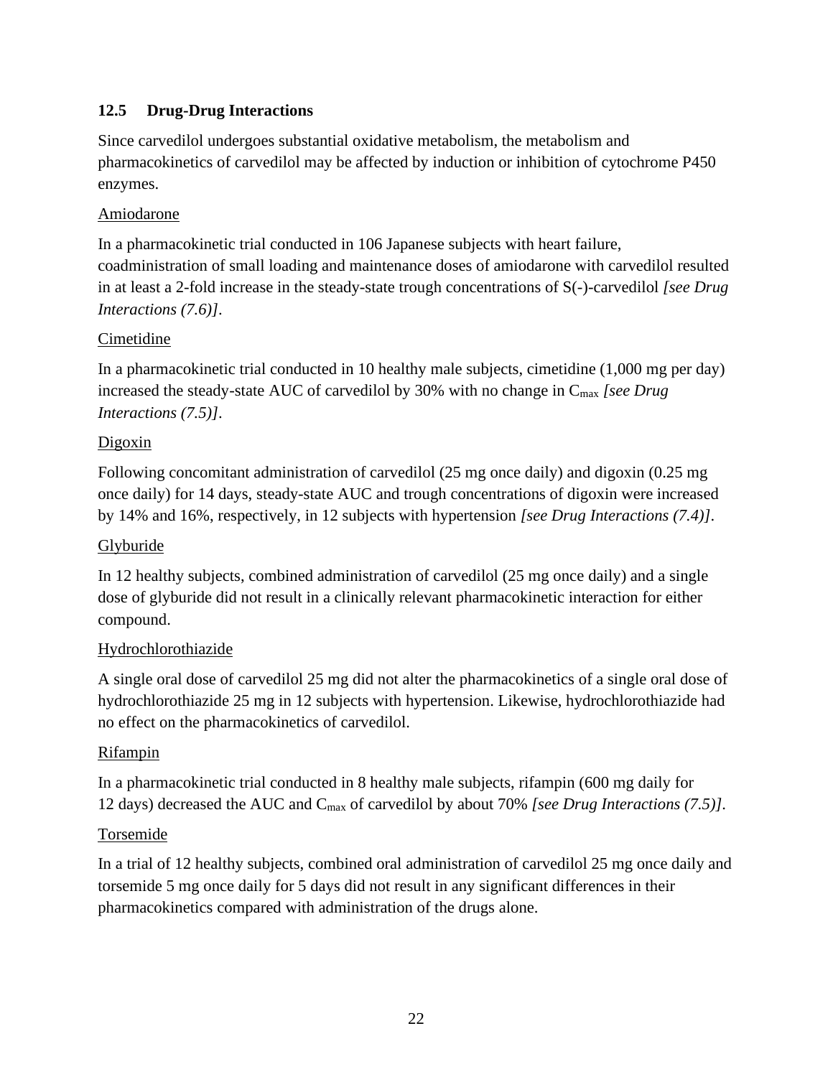## <span id="page-21-0"></span>**12.5 Drug-Drug Interactions**

Since carvedilol undergoes substantial oxidative metabolism, the metabolism and pharmacokinetics of carvedilol may be affected by induction or inhibition of cytochrome P450 enzymes.

## Amiodarone

In a pharmacokinetic trial conducted in 106 Japanese subjects with heart failure, coadministration of small loading and maintenance doses of amiodarone with carvedilol resulted in at least a 2-fold increase in the steady-state trough concentrations of S(-)-carvedilol *[see Drug Interactions (7.6)]*.

## Cimetidine

In a pharmacokinetic trial conducted in 10 healthy male subjects, cimetidine (1,000 mg per day) increased the steady-state AUC of carvedilol by 30% with no change in C<sub>max</sub> *[see Drug Interactions (7.5)]*.

## Digoxin

Following concomitant administration of carvedilol (25 mg once daily) and digoxin (0.25 mg once daily) for 14 days, steady-state AUC and trough concentrations of digoxin were increased by 14% and 16%, respectively, in 12 subjects with hypertension *[see Drug Interactions (7.4)]*.

## Glyburide

In 12 healthy subjects, combined administration of carvedilol (25 mg once daily) and a single dose of glyburide did not result in a clinically relevant pharmacokinetic interaction for either compound.

### Hydrochlorothiazide

A single oral dose of carvedilol 25 mg did not alter the pharmacokinetics of a single oral dose of hydrochlorothiazide 25 mg in 12 subjects with hypertension. Likewise, hydrochlorothiazide had no effect on the pharmacokinetics of carvedilol.

### Rifampin

In a pharmacokinetic trial conducted in 8 healthy male subjects, rifampin (600 mg daily for 12 days) decreased the AUC and Cmax of carvedilol by about 70% *[see Drug Interactions (7.5)]*.

### **Torsemide**

In a trial of 12 healthy subjects, combined oral administration of carvedilol 25 mg once daily and torsemide 5 mg once daily for 5 days did not result in any significant differences in their pharmacokinetics compared with administration of the drugs alone.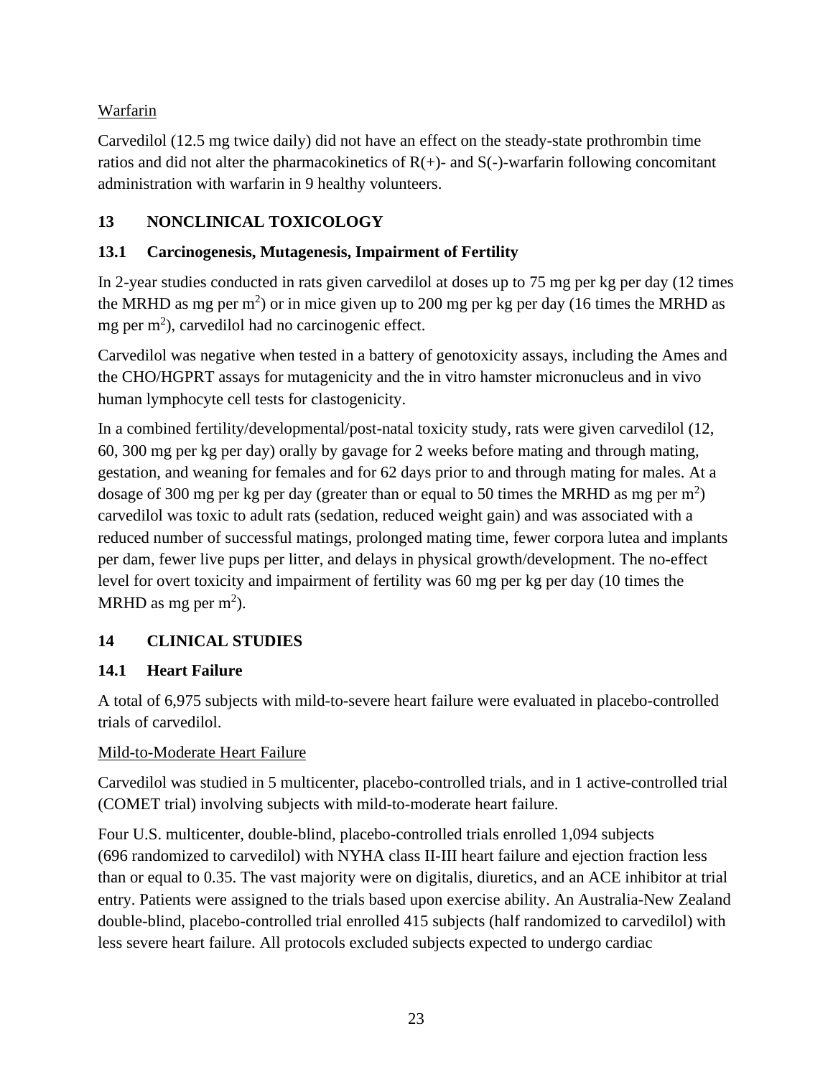# Warfarin

Carvedilol (12.5 mg twice daily) did not have an effect on the steady-state prothrombin time ratios and did not alter the pharmacokinetics of  $R(+)$ - and  $S(-)$ -warfarin following concomitant administration with warfarin in 9 healthy volunteers.

# <span id="page-22-0"></span>**13 NONCLINICAL TOXICOLOGY**

## <span id="page-22-1"></span>**13.1 Carcinogenesis, Mutagenesis, Impairment of Fertility**

In 2-year studies conducted in rats given carvedilol at doses up to 75 mg per kg per day (12 times the MRHD as mg per m<sup>2</sup>) or in mice given up to 200 mg per kg per day (16 times the MRHD as mg per  $m<sup>2</sup>$ ), carvedilol had no carcinogenic effect.

Carvedilol was negative when tested in a battery of genotoxicity assays, including the Ames and the CHO/HGPRT assays for mutagenicity and the in vitro hamster micronucleus and in vivo human lymphocyte cell tests for clastogenicity.

In a combined fertility/developmental/post-natal toxicity study, rats were given carvedilol (12, 60, 300 mg per kg per day) orally by gavage for 2 weeks before mating and through mating, gestation, and weaning for females and for 62 days prior to and through mating for males. At a dosage of 300 mg per kg per day (greater than or equal to 50 times the MRHD as mg per  $m^2$ ) carvedilol was toxic to adult rats (sedation, reduced weight gain) and was associated with a reduced number of successful matings, prolonged mating time, fewer corpora lutea and implants per dam, fewer live pups per litter, and delays in physical growth/development. The no-effect level for overt toxicity and impairment of fertility was 60 mg per kg per day (10 times the MRHD as mg per  $m<sup>2</sup>$ ).

# <span id="page-22-2"></span>**14 CLINICAL STUDIES**

# <span id="page-22-3"></span>**14.1 Heart Failure**

A total of 6,975 subjects with mild-to-severe heart failure were evaluated in placebo-controlled trials of carvedilol.

# Mild-to-Moderate Heart Failure

Carvedilol was studied in 5 multicenter, placebo-controlled trials, and in 1 active-controlled trial (COMET trial) involving subjects with mild-to-moderate heart failure.

Four U.S. multicenter, double-blind, placebo-controlled trials enrolled 1,094 subjects (696 randomized to carvedilol) with NYHA class II-III heart failure and ejection fraction less than or equal to 0.35. The vast majority were on digitalis, diuretics, and an ACE inhibitor at trial entry. Patients were assigned to the trials based upon exercise ability. An Australia-New Zealand double-blind, placebo-controlled trial enrolled 415 subjects (half randomized to carvedilol) with less severe heart failure. All protocols excluded subjects expected to undergo cardiac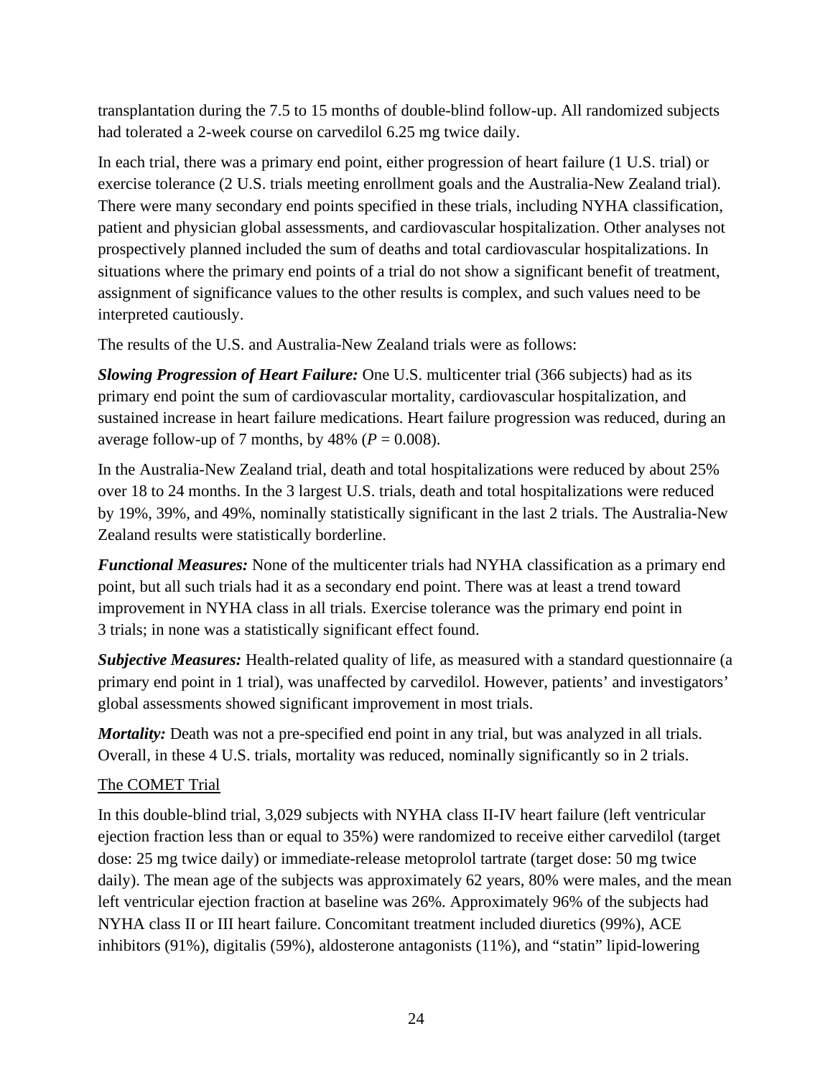transplantation during the 7.5 to 15 months of double-blind follow-up. All randomized subjects had tolerated a 2-week course on carvedilol 6.25 mg twice daily.

In each trial, there was a primary end point, either progression of heart failure (1 U.S. trial) or exercise tolerance (2 U.S. trials meeting enrollment goals and the Australia-New Zealand trial). There were many secondary end points specified in these trials, including NYHA classification, patient and physician global assessments, and cardiovascular hospitalization. Other analyses not prospectively planned included the sum of deaths and total cardiovascular hospitalizations. In situations where the primary end points of a trial do not show a significant benefit of treatment, assignment of significance values to the other results is complex, and such values need to be interpreted cautiously.

The results of the U.S. and Australia-New Zealand trials were as follows:

*Slowing Progression of Heart Failure:* One U.S. multicenter trial (366 subjects) had as its primary end point the sum of cardiovascular mortality, cardiovascular hospitalization, and sustained increase in heart failure medications. Heart failure progression was reduced, during an average follow-up of 7 months, by  $48\%$  ( $P = 0.008$ ).

In the Australia-New Zealand trial, death and total hospitalizations were reduced by about 25% over 18 to 24 months. In the 3 largest U.S. trials, death and total hospitalizations were reduced by 19%, 39%, and 49%, nominally statistically significant in the last 2 trials. The Australia-New Zealand results were statistically borderline.

*Functional Measures:* None of the multicenter trials had NYHA classification as a primary end point, but all such trials had it as a secondary end point. There was at least a trend toward improvement in NYHA class in all trials. Exercise tolerance was the primary end point in 3 trials; in none was a statistically significant effect found.

*Subjective Measures:* Health-related quality of life, as measured with a standard questionnaire (a primary end point in 1 trial), was unaffected by carvedilol. However, patients' and investigators' global assessments showed significant improvement in most trials.

*Mortality:* Death was not a pre-specified end point in any trial, but was analyzed in all trials. Overall, in these 4 U.S. trials, mortality was reduced, nominally significantly so in 2 trials.

### The COMET Trial

In this double-blind trial, 3,029 subjects with NYHA class II-IV heart failure (left ventricular ejection fraction less than or equal to 35%) were randomized to receive either carvedilol (target dose: 25 mg twice daily) or immediate-release metoprolol tartrate (target dose: 50 mg twice daily). The mean age of the subjects was approximately 62 years, 80% were males, and the mean left ventricular ejection fraction at baseline was 26%. Approximately 96% of the subjects had NYHA class II or III heart failure. Concomitant treatment included diuretics (99%), ACE inhibitors (91%), digitalis (59%), aldosterone antagonists (11%), and "statin" lipid-lowering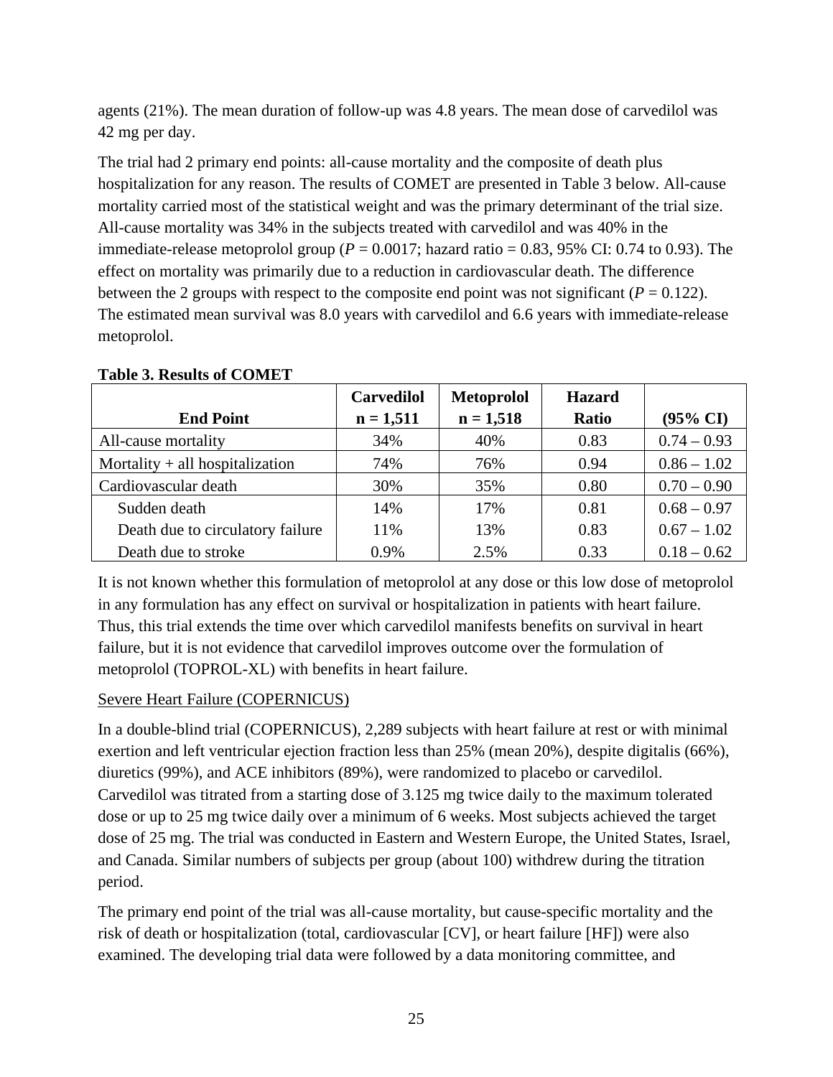agents (21%). The mean duration of follow-up was 4.8 years. The mean dose of carvedilol was 42 mg per day.

The trial had 2 primary end points: all-cause mortality and the composite of death plus hospitalization for any reason. The results of COMET are presented in Table 3 below. All-cause mortality carried most of the statistical weight and was the primary determinant of the trial size. All-cause mortality was 34% in the subjects treated with carvedilol and was 40% in the immediate-release metoprolol group ( $P = 0.0017$ ; hazard ratio = 0.83, 95% CI: 0.74 to 0.93). The effect on mortality was primarily due to a reduction in cardiovascular death. The difference between the 2 groups with respect to the composite end point was not significant ( $P = 0.122$ ). The estimated mean survival was 8.0 years with carvedilol and 6.6 years with immediate-release metoprolol.

|                                   | <b>Carvedilol</b> | <b>Metoprolol</b> | <b>Hazard</b> |                     |
|-----------------------------------|-------------------|-------------------|---------------|---------------------|
| <b>End Point</b>                  | $n = 1,511$       | $n = 1,518$       | <b>Ratio</b>  | $(95\% \text{ CI})$ |
| All-cause mortality               | 34%               | 40%               | 0.83          | $0.74 - 0.93$       |
| Mortality $+$ all hospitalization | 74%               | 76%               | 0.94          | $0.86 - 1.02$       |
| Cardiovascular death              | 30%               | 35%               | 0.80          | $0.70 - 0.90$       |
| Sudden death                      | 14%               | 17%               | 0.81          | $0.68 - 0.97$       |
| Death due to circulatory failure  | 11%               | 13%               | 0.83          | $0.67 - 1.02$       |
| Death due to stroke               | 0.9%              | 2.5%              | 0.33          | $0.18 - 0.62$       |

#### **Table 3. Results of COMET**

It is not known whether this formulation of metoprolol at any dose or this low dose of metoprolol in any formulation has any effect on survival or hospitalization in patients with heart failure. Thus, this trial extends the time over which carvedilol manifests benefits on survival in heart failure, but it is not evidence that carvedilol improves outcome over the formulation of metoprolol (TOPROL-XL) with benefits in heart failure.

### Severe Heart Failure (COPERNICUS)

In a double-blind trial (COPERNICUS), 2,289 subjects with heart failure at rest or with minimal exertion and left ventricular ejection fraction less than 25% (mean 20%), despite digitalis (66%), diuretics (99%), and ACE inhibitors (89%), were randomized to placebo or carvedilol. Carvedilol was titrated from a starting dose of 3.125 mg twice daily to the maximum tolerated dose or up to 25 mg twice daily over a minimum of 6 weeks. Most subjects achieved the target dose of 25 mg. The trial was conducted in Eastern and Western Europe, the United States, Israel, and Canada. Similar numbers of subjects per group (about 100) withdrew during the titration period.

The primary end point of the trial was all-cause mortality, but cause-specific mortality and the risk of death or hospitalization (total, cardiovascular [CV], or heart failure [HF]) were also examined. The developing trial data were followed by a data monitoring committee, and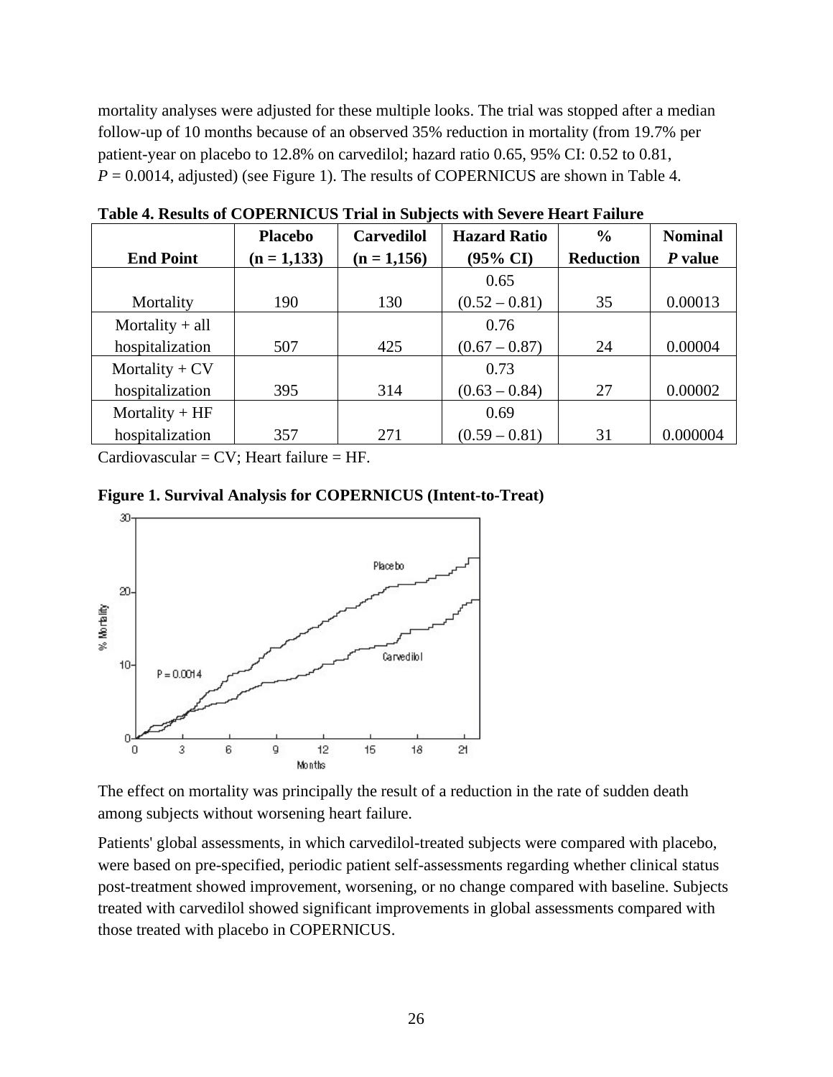mortality analyses were adjusted for these multiple looks. The trial was stopped after a median follow-up of 10 months because of an observed 35% reduction in mortality (from 19.7% per patient-year on placebo to 12.8% on carvedilol; hazard ratio 0.65, 95% CI: 0.52 to 0.81,  $P = 0.0014$ , adjusted) (see Figure 1). The results of COPERNICUS are shown in Table 4.

|                   | <b>Placebo</b> | <b>Carvedilol</b> | <b>Hazard Ratio</b> | $\frac{0}{0}$    | <b>Nominal</b> |
|-------------------|----------------|-------------------|---------------------|------------------|----------------|
| <b>End Point</b>  | $(n = 1,133)$  | $(n = 1,156)$     | $(95\% \text{ CI})$ | <b>Reduction</b> | P value        |
|                   |                |                   | 0.65                |                  |                |
| Mortality         | 190            | 130               | $(0.52 - 0.81)$     | 35               | 0.00013        |
| Mortality $+$ all |                |                   | 0.76                |                  |                |
| hospitalization   | 507            | 425               | $(0.67 - 0.87)$     | 24               | 0.00004        |
| Mortality + $CV$  |                |                   | 0.73                |                  |                |
| hospitalization   | 395            | 314               | $(0.63 - 0.84)$     | 27               | 0.00002        |
| Mortality $+HF$   |                |                   | 0.69                |                  |                |
| hospitalization   | 357            | 271               | $(0.59 - 0.81)$     | 31               | 0.000004       |

**Table 4. Results of COPERNICUS Trial in Subjects with Severe Heart Failure**

Cardiovascular =  $CV$ ; Heart failure = HF.

**Figure 1. Survival Analysis for COPERNICUS (Intent-to-Treat)**



The effect on mortality was principally the result of a reduction in the rate of sudden death among subjects without worsening heart failure.

Patients' global assessments, in which carvedilol-treated subjects were compared with placebo, were based on pre-specified, periodic patient self-assessments regarding whether clinical status post-treatment showed improvement, worsening, or no change compared with baseline. Subjects treated with carvedilol showed significant improvements in global assessments compared with those treated with placebo in COPERNICUS.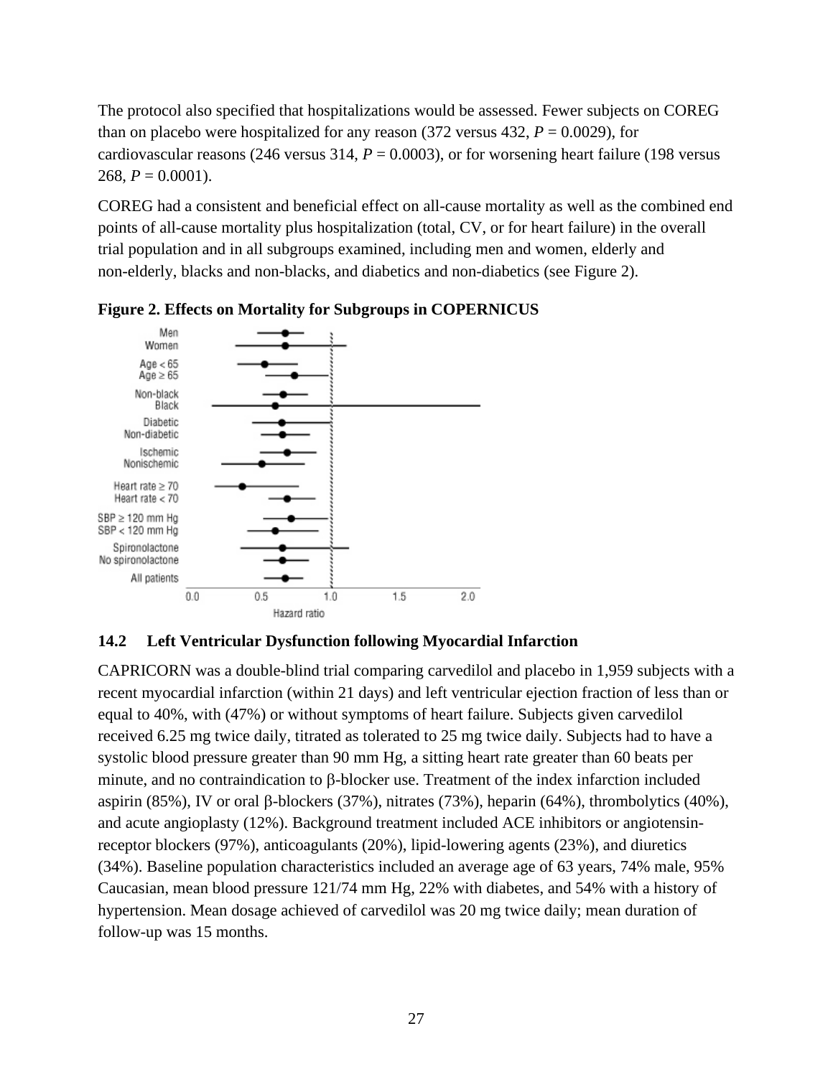The protocol also specified that hospitalizations would be assessed. Fewer subjects on COREG than on placebo were hospitalized for any reason  $(372 \text{ versus } 432, P = 0.0029)$ , for cardiovascular reasons (246 versus 314,  $P = 0.0003$ ), or for worsening heart failure (198 versus  $268, P = 0.0001$ .

COREG had a consistent and beneficial effect on all-cause mortality as well as the combined end points of all-cause mortality plus hospitalization (total, CV, or for heart failure) in the overall trial population and in all subgroups examined, including men and women, elderly and non-elderly, blacks and non-blacks, and diabetics and non-diabetics (see Figure 2).



**Figure 2. Effects on Mortality for Subgroups in COPERNICUS**

#### <span id="page-26-0"></span>**14.2 Left Ventricular Dysfunction following Myocardial Infarction**

CAPRICORN was a double-blind trial comparing carvedilol and placebo in 1,959 subjects with a recent myocardial infarction (within 21 days) and left ventricular ejection fraction of less than or equal to 40%, with (47%) or without symptoms of heart failure. Subjects given carvedilol received 6.25 mg twice daily, titrated as tolerated to 25 mg twice daily. Subjects had to have a systolic blood pressure greater than 90 mm Hg, a sitting heart rate greater than 60 beats per minute, and no contraindication to β-blocker use. Treatment of the index infarction included aspirin (85%), IV or oral β-blockers (37%), nitrates (73%), heparin (64%), thrombolytics (40%), and acute angioplasty (12%). Background treatment included ACE inhibitors or angiotensinreceptor blockers (97%), anticoagulants (20%), lipid-lowering agents (23%), and diuretics (34%). Baseline population characteristics included an average age of 63 years, 74% male, 95% Caucasian, mean blood pressure 121/74 mm Hg, 22% with diabetes, and 54% with a history of hypertension. Mean dosage achieved of carvedilol was 20 mg twice daily; mean duration of follow-up was 15 months.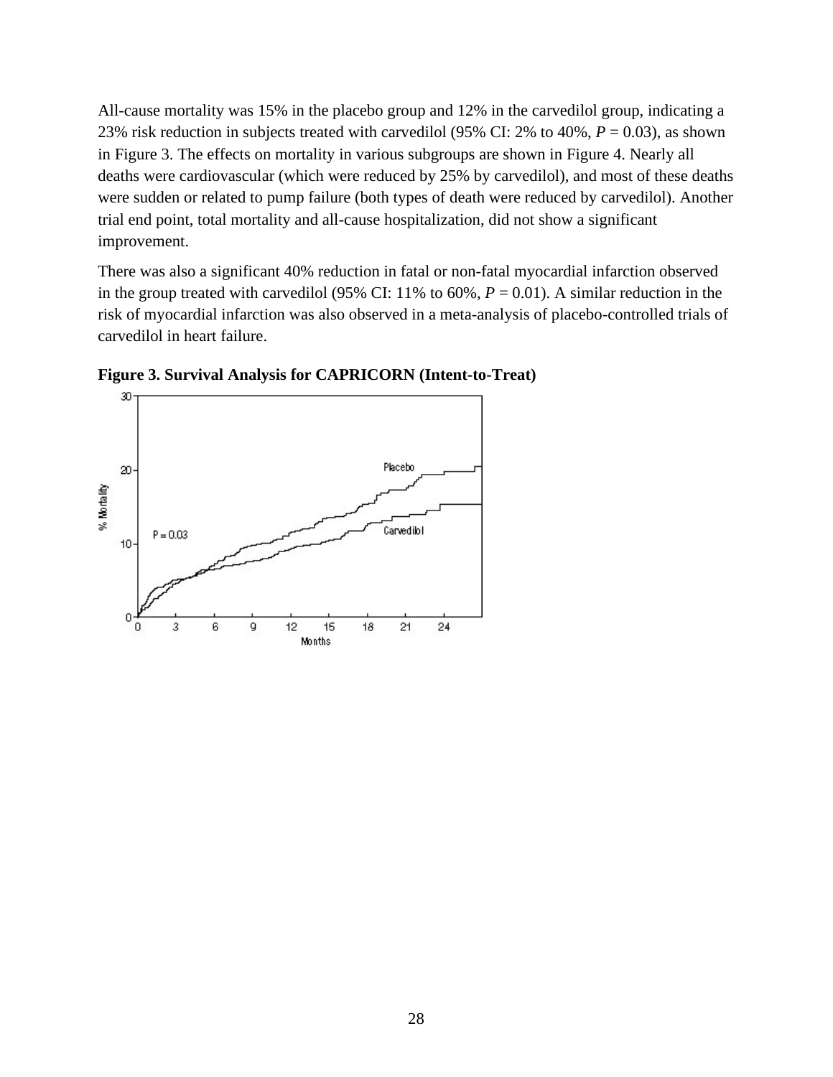All-cause mortality was 15% in the placebo group and 12% in the carvedilol group, indicating a 23% risk reduction in subjects treated with carvedilol (95% CI: 2% to 40%, *P* = 0.03), as shown in Figure 3. The effects on mortality in various subgroups are shown in Figure 4. Nearly all deaths were cardiovascular (which were reduced by 25% by carvedilol), and most of these deaths were sudden or related to pump failure (both types of death were reduced by carvedilol). Another trial end point, total mortality and all-cause hospitalization, did not show a significant improvement.

There was also a significant 40% reduction in fatal or non-fatal myocardial infarction observed in the group treated with carvedilol (95% CI: 11% to 60%,  $P = 0.01$ ). A similar reduction in the risk of myocardial infarction was also observed in a meta-analysis of placebo-controlled trials of carvedilol in heart failure.



**Figure 3. Survival Analysis for CAPRICORN (Intent-to-Treat)**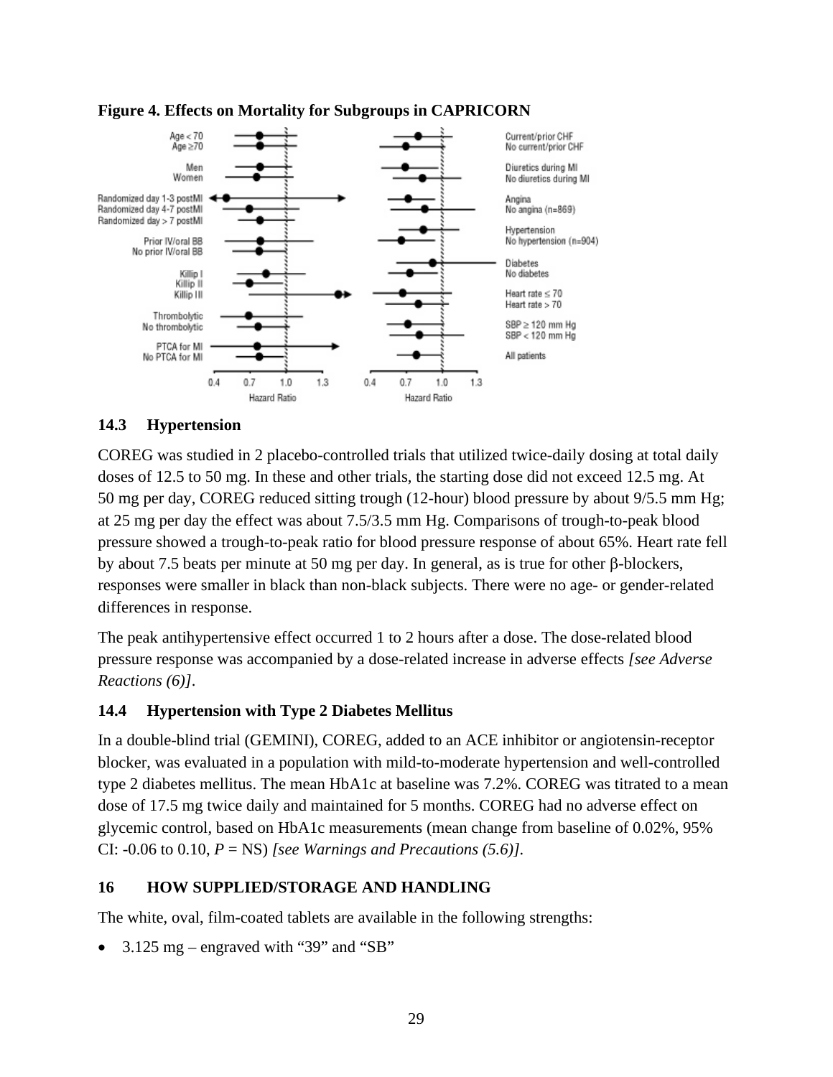

### **Figure 4. Effects on Mortality for Subgroups in CAPRICORN**

### <span id="page-28-0"></span>**14.3 Hypertension**

COREG was studied in 2 placebo-controlled trials that utilized twice-daily dosing at total daily doses of 12.5 to 50 mg. In these and other trials, the starting dose did not exceed 12.5 mg. At 50 mg per day, COREG reduced sitting trough (12-hour) blood pressure by about 9/5.5 mm Hg; at 25 mg per day the effect was about 7.5/3.5 mm Hg. Comparisons of trough-to-peak blood pressure showed a trough-to-peak ratio for blood pressure response of about 65%. Heart rate fell by about 7.5 beats per minute at 50 mg per day. In general, as is true for other β-blockers, responses were smaller in black than non-black subjects. There were no age- or gender-related differences in response.

The peak antihypertensive effect occurred 1 to 2 hours after a dose. The dose-related blood pressure response was accompanied by a dose-related increase in adverse effects *[see Adverse Reactions (6)]*.

#### <span id="page-28-1"></span>**14.4 Hypertension with Type 2 Diabetes Mellitus**

In a double-blind trial (GEMINI), COREG, added to an ACE inhibitor or angiotensin-receptor blocker, was evaluated in a population with mild-to-moderate hypertension and well-controlled type 2 diabetes mellitus. The mean HbA1c at baseline was 7.2%. COREG was titrated to a mean dose of 17.5 mg twice daily and maintained for 5 months. COREG had no adverse effect on glycemic control, based on HbA1c measurements (mean change from baseline of 0.02%, 95% CI: -0.06 to 0.10, *P* = NS) *[see Warnings and Precautions (5.6)].*

#### <span id="page-28-2"></span>**16 HOW SUPPLIED/STORAGE AND HANDLING**

The white, oval, film-coated tablets are available in the following strengths:

•  $3.125 \text{ mg}$  – engraved with "39" and "SB"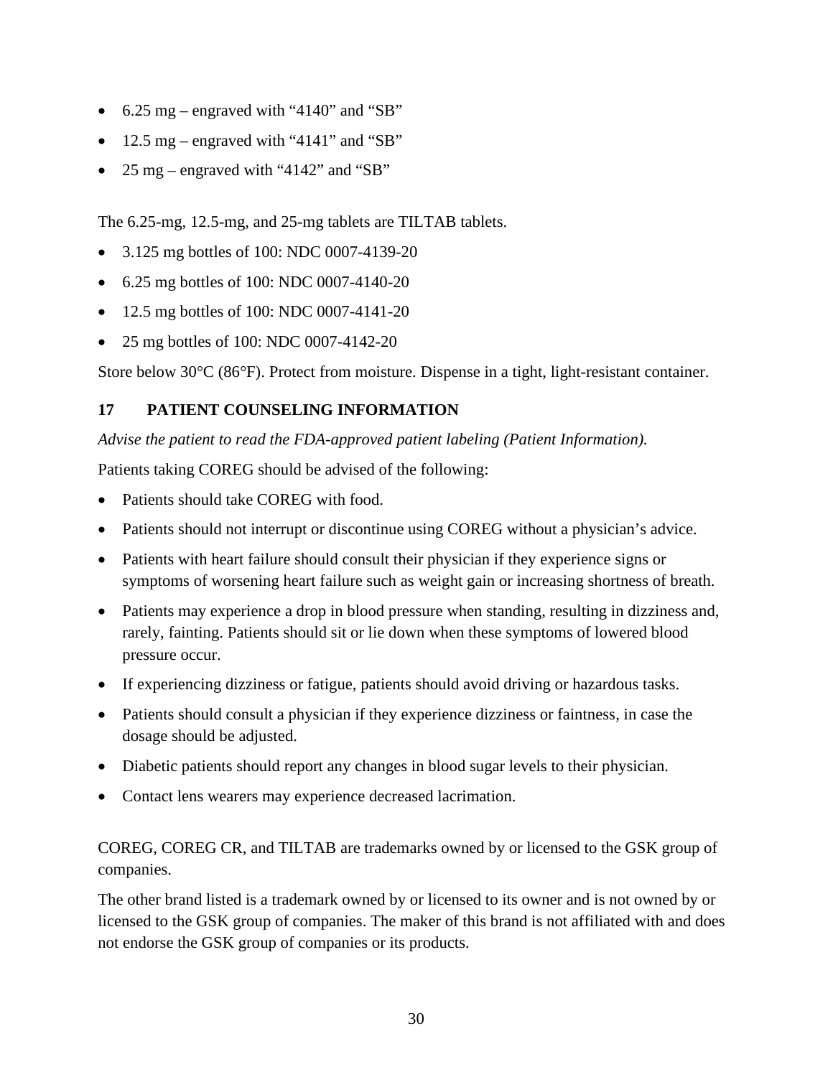- 6.25 mg engraved with "4140" and "SB"
- 12.5 mg engraved with "4141" and "SB"
- 25 mg engraved with "4142" and "SB"

The 6.25-mg, 12.5-mg, and 25-mg tablets are TILTAB tablets.

- 3.125 mg bottles of 100: NDC 0007-4139-20
- 6.25 mg bottles of 100: NDC 0007-4140-20
- 12.5 mg bottles of 100: NDC 0007-4141-20
- 25 mg bottles of 100: NDC 0007-4142-20

<span id="page-29-0"></span>Store below 30°C (86°F). Protect from moisture. Dispense in a tight, light-resistant container.

## **17 PATIENT COUNSELING INFORMATION**

*Advise the patient to read the FDA-approved patient labeling (Patient Information).*

Patients taking COREG should be advised of the following:

- Patients should take COREG with food.
- Patients should not interrupt or discontinue using COREG without a physician's advice.
- Patients with heart failure should consult their physician if they experience signs or symptoms of worsening heart failure such as weight gain or increasing shortness of breath.
- Patients may experience a drop in blood pressure when standing, resulting in dizziness and, rarely, fainting. Patients should sit or lie down when these symptoms of lowered blood pressure occur.
- If experiencing dizziness or fatigue, patients should avoid driving or hazardous tasks.
- Patients should consult a physician if they experience dizziness or faintness, in case the dosage should be adjusted.
- Diabetic patients should report any changes in blood sugar levels to their physician.
- Contact lens wearers may experience decreased lacrimation.

COREG, COREG CR, and TILTAB are trademarks owned by or licensed to the GSK group of companies.

The other brand listed is a trademark owned by or licensed to its owner and is not owned by or licensed to the GSK group of companies. The maker of this brand is not affiliated with and does not endorse the GSK group of companies or its products.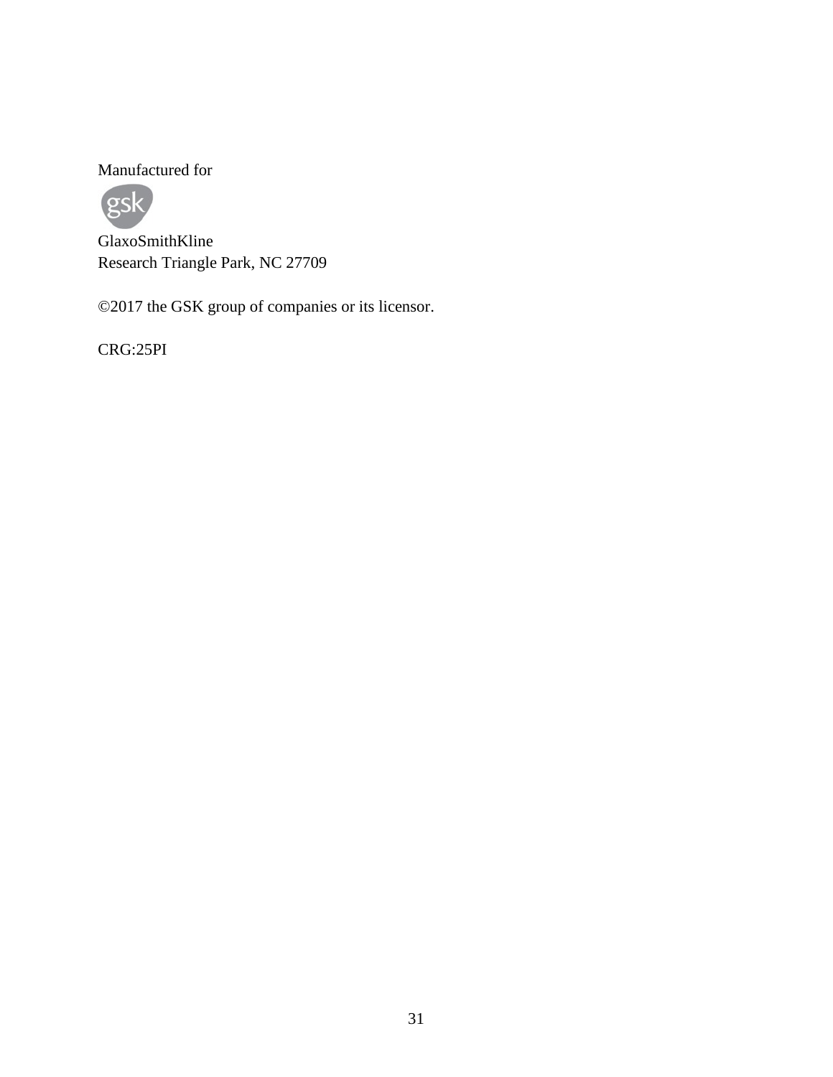Manufactured for



GlaxoSmithKline Research Triangle Park, NC 27709

©2017 the GSK group of companies or its licensor.

CRG:25PI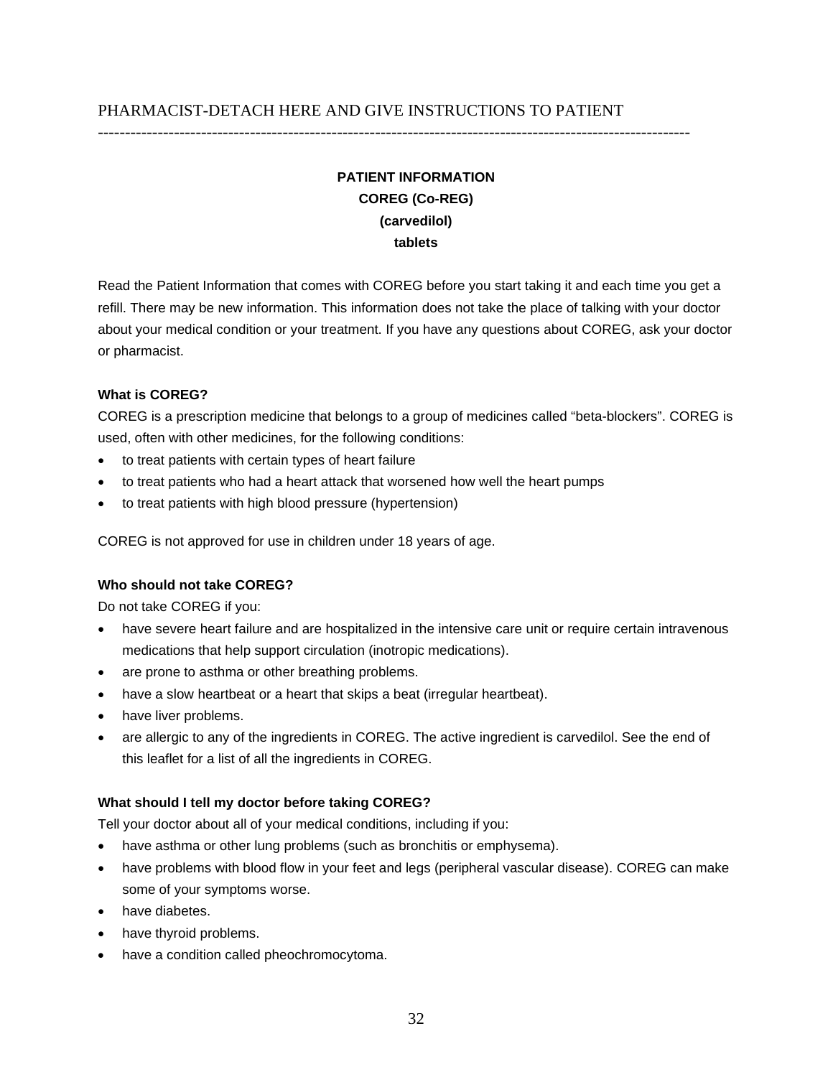## PHARMACIST-DETACH HERE AND GIVE INSTRUCTIONS TO PATIENT

-------------------------------------------------------------------------------------------------------------

## **PATIENT INFORMATION COREG (Co-REG) (carvedilol) tablets**

Read the Patient Information that comes with COREG before you start taking it and each time you get a refill. There may be new information. This information does not take the place of talking with your doctor about your medical condition or your treatment. If you have any questions about COREG, ask your doctor or pharmacist.

#### **What is COREG?**

COREG is a prescription medicine that belongs to a group of medicines called "beta-blockers". COREG is used, often with other medicines, for the following conditions:

- to treat patients with certain types of heart failure
- to treat patients who had a heart attack that worsened how well the heart pumps
- to treat patients with high blood pressure (hypertension)

COREG is not approved for use in children under 18 years of age.

#### **Who should not take COREG?**

Do not take COREG if you:

- have severe heart failure and are hospitalized in the intensive care unit or require certain intravenous medications that help support circulation (inotropic medications).
- are prone to asthma or other breathing problems.
- have a slow heartbeat or a heart that skips a beat (irregular heartbeat).
- have liver problems.
- are allergic to any of the ingredients in COREG. The active ingredient is carvedilol. See the end of this leaflet for a list of all the ingredients in COREG.

#### **What should I tell my doctor before taking COREG?**

Tell your doctor about all of your medical conditions, including if you:

- have asthma or other lung problems (such as bronchitis or emphysema).
- have problems with blood flow in your feet and legs (peripheral vascular disease). COREG can make some of your symptoms worse.
- have diabetes.
- have thyroid problems.
- have a condition called pheochromocytoma.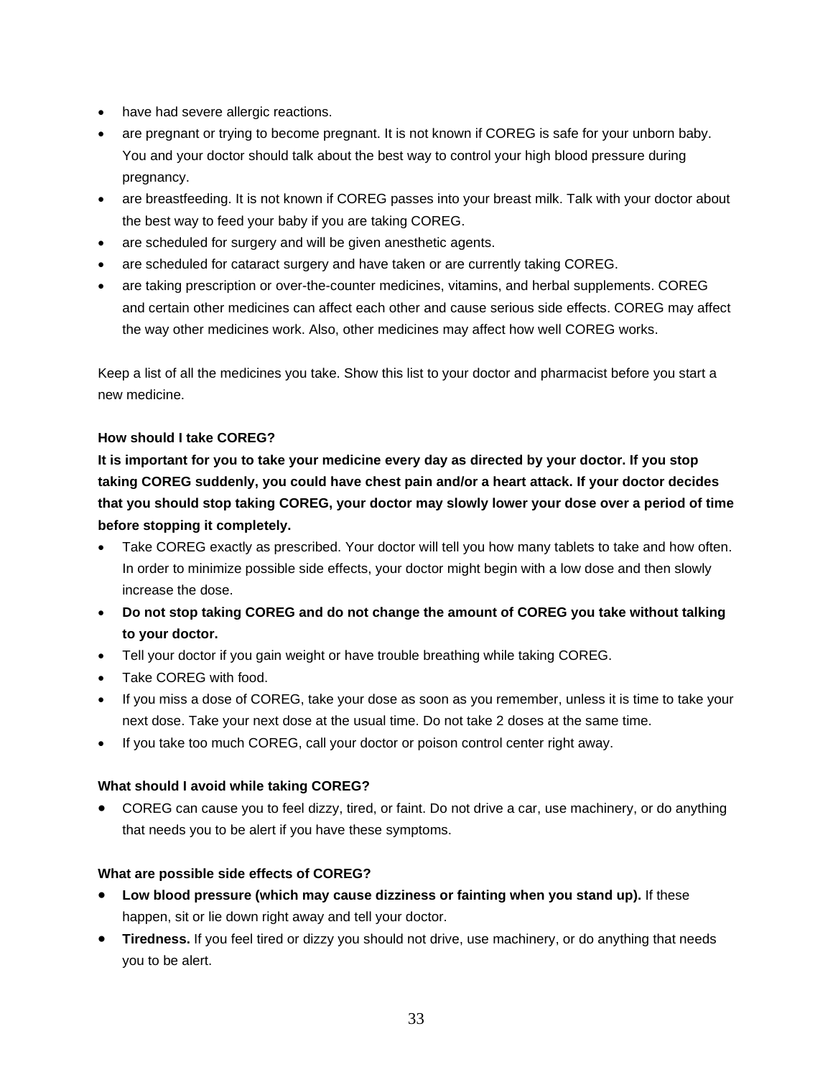- have had severe allergic reactions.
- are pregnant or trying to become pregnant. It is not known if COREG is safe for your unborn baby. You and your doctor should talk about the best way to control your high blood pressure during pregnancy.
- are breastfeeding. It is not known if COREG passes into your breast milk. Talk with your doctor about the best way to feed your baby if you are taking COREG.
- are scheduled for surgery and will be given anesthetic agents.
- are scheduled for cataract surgery and have taken or are currently taking COREG.
- are taking prescription or over-the-counter medicines, vitamins, and herbal supplements. COREG and certain other medicines can affect each other and cause serious side effects. COREG may affect the way other medicines work. Also, other medicines may affect how well COREG works.

Keep a list of all the medicines you take. Show this list to your doctor and pharmacist before you start a new medicine.

#### **How should I take COREG?**

**It is important for you to take your medicine every day as directed by your doctor. If you stop taking COREG suddenly, you could have chest pain and/or a heart attack. If your doctor decides that you should stop taking COREG, your doctor may slowly lower your dose over a period of time before stopping it completely.**

- Take COREG exactly as prescribed. Your doctor will tell you how many tablets to take and how often. In order to minimize possible side effects, your doctor might begin with a low dose and then slowly increase the dose.
- **Do not stop taking COREG and do not change the amount of COREG you take without talking to your doctor.**
- Tell your doctor if you gain weight or have trouble breathing while taking COREG.
- Take COREG with food.
- If you miss a dose of COREG, take your dose as soon as you remember, unless it is time to take your next dose. Take your next dose at the usual time. Do not take 2 doses at the same time.
- If you take too much COREG, call your doctor or poison control center right away.

#### **What should I avoid while taking COREG?**

• COREG can cause you to feel dizzy, tired, or faint. Do not drive a car, use machinery, or do anything that needs you to be alert if you have these symptoms.

#### **What are possible side effects of COREG?**

- **Low blood pressure (which may cause dizziness or fainting when you stand up).** If these happen, sit or lie down right away and tell your doctor.
- **Tiredness.** If you feel tired or dizzy you should not drive, use machinery, or do anything that needs you to be alert.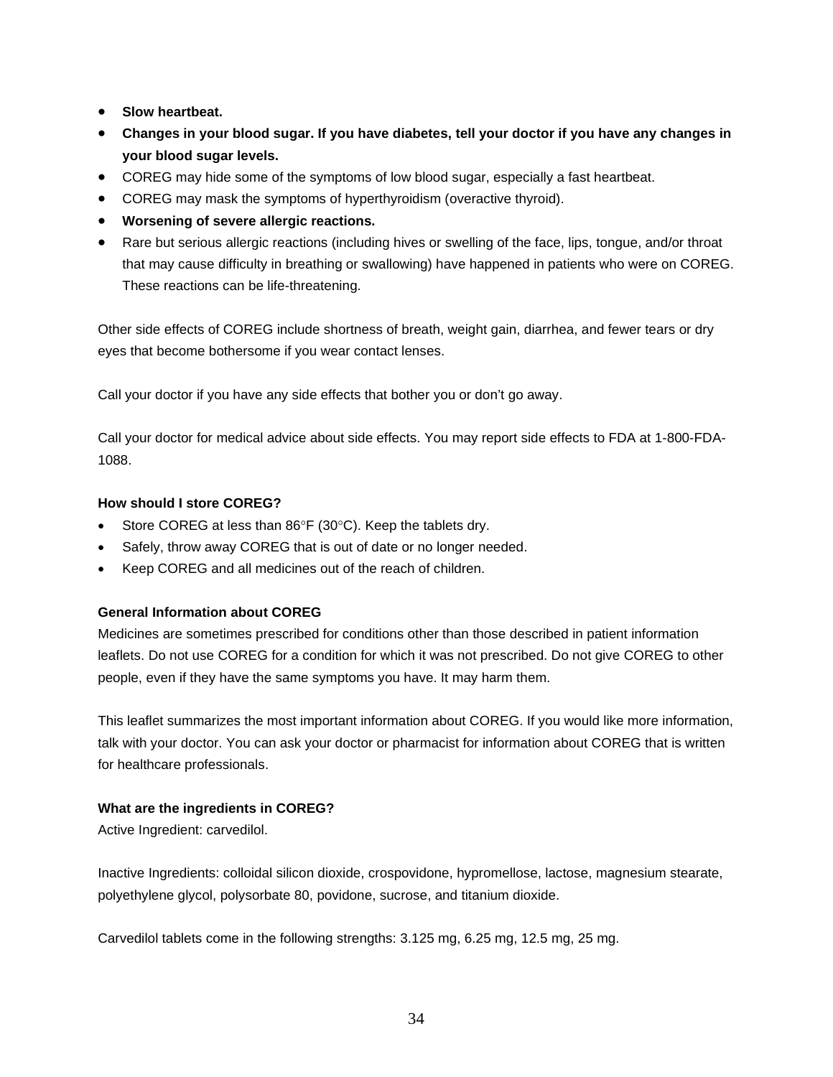- **Slow heartbeat.**
- **Changes in your blood sugar. If you have diabetes, tell your doctor if you have any changes in your blood sugar levels.**
- COREG may hide some of the symptoms of low blood sugar, especially a fast heartbeat.
- COREG may mask the symptoms of hyperthyroidism (overactive thyroid).
- **Worsening of severe allergic reactions.**
- Rare but serious allergic reactions (including hives or swelling of the face, lips, tongue, and/or throat that may cause difficulty in breathing or swallowing) have happened in patients who were on COREG. These reactions can be life-threatening.

Other side effects of COREG include shortness of breath, weight gain, diarrhea, and fewer tears or dry eyes that become bothersome if you wear contact lenses.

Call your doctor if you have any side effects that bother you or don't go away.

Call your doctor for medical advice about side effects. You may report side effects to FDA at 1-800-FDA-1088.

#### **How should I store COREG?**

- Store COREG at less than 86°F (30°C). Keep the tablets dry.
- Safely, throw away COREG that is out of date or no longer needed.
- Keep COREG and all medicines out of the reach of children.

#### **General Information about COREG**

Medicines are sometimes prescribed for conditions other than those described in patient information leaflets. Do not use COREG for a condition for which it was not prescribed. Do not give COREG to other people, even if they have the same symptoms you have. It may harm them.

This leaflet summarizes the most important information about COREG. If you would like more information, talk with your doctor. You can ask your doctor or pharmacist for information about COREG that is written for healthcare professionals.

#### **What are the ingredients in COREG?**

Active Ingredient: carvedilol.

Inactive Ingredients: colloidal silicon dioxide, crospovidone, hypromellose, lactose, magnesium stearate, polyethylene glycol, polysorbate 80, povidone, sucrose, and titanium dioxide.

Carvedilol tablets come in the following strengths: 3.125 mg, 6.25 mg, 12.5 mg, 25 mg.